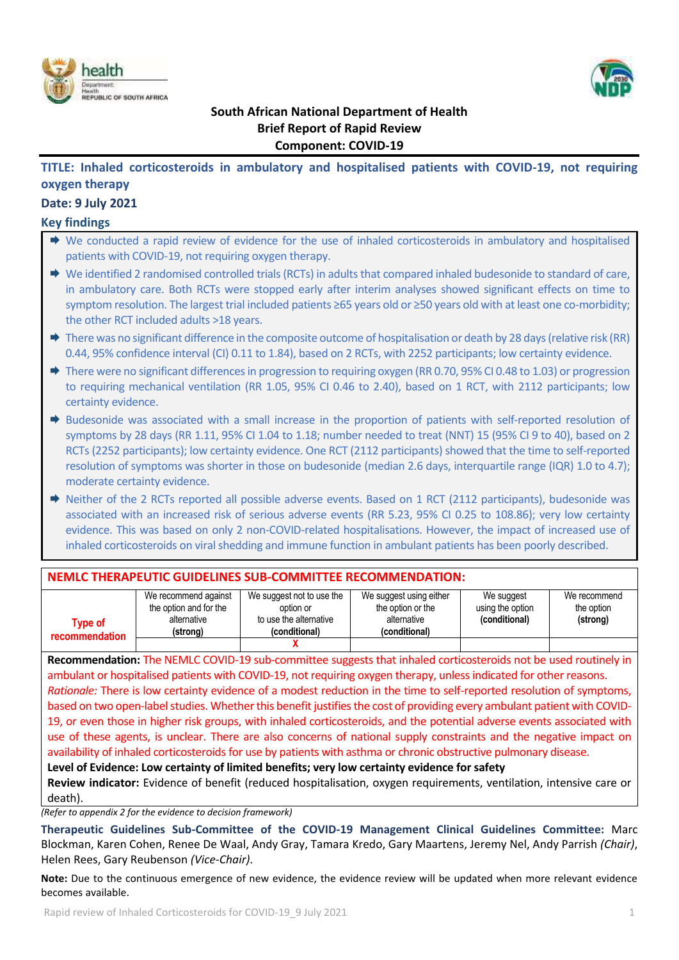



# **South African National Department of Health Brief Report of Rapid Review Component: COVID-19**

# **TITLE: Inhaled corticosteroids in ambulatory and hospitalised patients with COVID-19, not requiring oxygen therapy**

### **Date: 9 July 2021**

### **Key findings**

| $\rightarrow$ We conducted a rapid review of evidence for the use of inhaled corticosteroids in ambulatory and hospitalised |
|-----------------------------------------------------------------------------------------------------------------------------|
| patients with COVID-19, not requiring oxygen therapy.                                                                       |

- $\rightarrow$  We identified 2 randomised controlled trials (RCTs) in adults that compared inhaled budesonide to standard of care, in ambulatory care. Both RCTs were stopped early after interim analyses showed significant effects on time to symptom resolution. The largest trial included patients ≥65 years old or ≥50 years old with at least one co-morbidity; the other RCT included adults >18 years.
- $\rightarrow$  There was no significant difference in the composite outcome of hospitalisation or death by 28 days (relative risk (RR) 0.44, 95% confidence interval (CI) 0.11 to 1.84), based on 2 RCTs, with 2252 participants; low certainty evidence.
- $\rightarrow$  There were no significant differences in progression to requiring oxygen (RR 0.70, 95% CI 0.48 to 1.03) or progression to requiring mechanical ventilation (RR 1.05, 95% CI 0.46 to 2.40), based on 1 RCT, with 2112 participants; low certainty evidence.
- $\Rightarrow$  Budesonide was associated with a small increase in the proportion of patients with self-reported resolution of symptoms by 28 days (RR 1.11, 95% CI 1.04 to 1.18; number needed to treat (NNT) 15 (95% CI 9 to 40), based on 2 RCTs (2252 participants); low certainty evidence. One RCT (2112 participants) showed that the time to self-reported resolution of symptoms was shorter in those on budesonide (median 2.6 days, interquartile range (IQR) 1.0 to 4.7); moderate certainty evidence.
- $\Rightarrow$  Neither of the 2 RCTs reported all possible adverse events. Based on 1 RCT (2112 participants), budesonide was associated with an increased risk of serious adverse events (RR 5.23, 95% CI 0.25 to 108.86); very low certainty evidence. This was based on only 2 non-COVID-related hospitalisations. However, the impact of increased use of inhaled corticosteroids on viral shedding and immune function in ambulant patients has been poorly described.

# **NEMLC THERAPEUTIC GUIDELINES SUB-COMMITTEE RECOMMENDATION:**

| Tvpe of<br>recommendation | We recommend against<br>the option and for the<br>alternative<br>(strong) | We suggest not to use the<br>option or<br>to use the alternative<br>(conditional) | We suggest using either<br>the option or the<br>alternative<br>(conditional) | We suggest<br>using the option<br>(conditional) | We recommend<br>the option<br>(strong) |
|---------------------------|---------------------------------------------------------------------------|-----------------------------------------------------------------------------------|------------------------------------------------------------------------------|-------------------------------------------------|----------------------------------------|
|                           |                                                                           |                                                                                   |                                                                              |                                                 |                                        |

**Recommendation:** The NEMLC COVID-19 sub-committee suggests that inhaled corticosteroids not be used routinely in ambulant or hospitalised patients with COVID-19, not requiring oxygen therapy, unlessindicated for other reasons. *Rationale:* There is low certainty evidence of a modest reduction in the time to self-reported resolution of symptoms, based on two open-label studies. Whether this benefit justifies the cost of providing every ambulant patient with COVID-19, or even those in higher risk groups, with inhaled corticosteroids, and the potential adverse events associated with use of these agents, is unclear. There are also concerns of national supply constraints and the negative impact on availability of inhaled corticosteroids for use by patients with asthma or chronic obstructive pulmonary disease.

**Level of Evidence: Low certainty of limited benefits; very low certainty evidence for safety**

**Review indicator:** Evidence of benefit (reduced hospitalisation, oxygen requirements, ventilation, intensive care or death).

*(Refer to appendix 2 for the evidence to decision framework)*

**Therapeutic Guidelines Sub-Committee of the COVID-19 Management Clinical Guidelines Committee:** Marc Blockman, Karen Cohen, Renee De Waal, Andy Gray, Tamara Kredo, Gary Maartens, Jeremy Nel, Andy Parrish *(Chair)*, Helen Rees, Gary Reubenson *(Vice-Chair)*.

**Note:** Due to the continuous emergence of new evidence, the evidence review will be updated when more relevant evidence becomes available.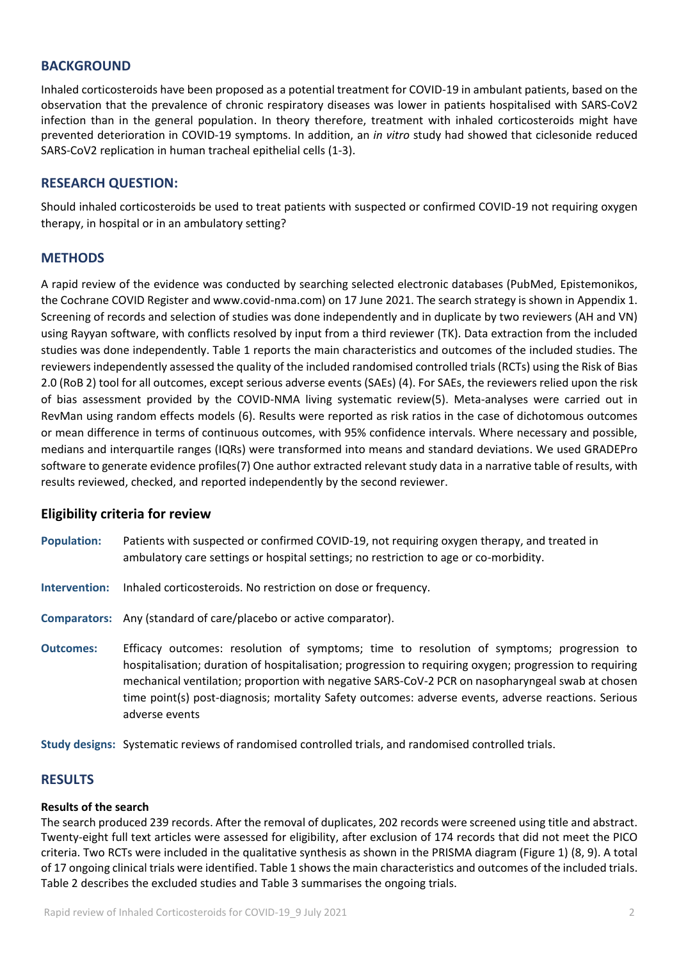### **BACKGROUND**

Inhaled corticosteroids have been proposed as a potential treatment for COVID-19 in ambulant patients, based on the observation that the prevalence of chronic respiratory diseases was lower in patients hospitalised with SARS-CoV2 infection than in the general population. In theory therefore, treatment with inhaled corticosteroids might have prevented deterioration in COVID-19 symptoms. In addition, an *in vitro* study had showed that ciclesonide reduced SARS-CoV2 replication in human tracheal epithelial cells (1-3).

### **RESEARCH QUESTION:**

Should inhaled corticosteroids be used to treat patients with suspected or confirmed COVID-19 not requiring oxygen therapy, in hospital or in an ambulatory setting?

### **METHODS**

A rapid review of the evidence was conducted by searching selected electronic databases (PubMed, Epistemonikos, the Cochrane COVID Register and www.covid-nma.com) on 17 June 2021. The search strategy is shown in Appendix 1. Screening of records and selection of studies was done independently and in duplicate by two reviewers (AH and VN) using Rayyan software, with conflicts resolved by input from a third reviewer (TK). Data extraction from the included studies was done independently. Table 1 reports the main characteristics and outcomes of the included studies. The reviewers independently assessed the quality of the included randomised controlled trials (RCTs) using the Risk of Bias 2.0 (RoB 2) tool for all outcomes, except serious adverse events (SAEs) (4). For SAEs, the reviewers relied upon the risk of bias assessment provided by the COVID-NMA living systematic review(5). Meta-analyses were carried out in RevMan using random effects models (6). Results were reported as risk ratios in the case of dichotomous outcomes or mean difference in terms of continuous outcomes, with 95% confidence intervals. Where necessary and possible, medians and interquartile ranges (IQRs) were transformed into means and standard deviations. We used GRADEPro software to generate evidence profiles(7) One author extracted relevant study data in a narrative table of results, with results reviewed, checked, and reported independently by the second reviewer.

### **Eligibility criteria for review**

- **Population:** Patients with suspected or confirmed COVID-19, not requiring oxygen therapy, and treated in ambulatory care settings or hospital settings; no restriction to age or co-morbidity.
- **Intervention:** Inhaled corticosteroids. No restriction on dose or frequency.
- **Comparators:** Any (standard of care/placebo or active comparator).
- **Outcomes:** Efficacy outcomes: resolution of symptoms; time to resolution of symptoms; progression to hospitalisation; duration of hospitalisation; progression to requiring oxygen; progression to requiring mechanical ventilation; proportion with negative SARS-CoV-2 PCR on nasopharyngeal swab at chosen time point(s) post-diagnosis; mortality Safety outcomes: adverse events, adverse reactions. Serious adverse events

**Study designs:** Systematic reviews of randomised controlled trials, and randomised controlled trials.

### **RESULTS**

#### **Results of the search**

The search produced 239 records. After the removal of duplicates, 202 records were screened using title and abstract. Twenty-eight full text articles were assessed for eligibility, after exclusion of 174 records that did not meet the PICO criteria. Two RCTs were included in the qualitative synthesis as shown in the PRISMA diagram (Figure 1) (8, 9). A total of 17 ongoing clinical trials were identified. Table 1 shows the main characteristics and outcomes of the included trials. Table 2 describes the excluded studies and Table 3 summarises the ongoing trials.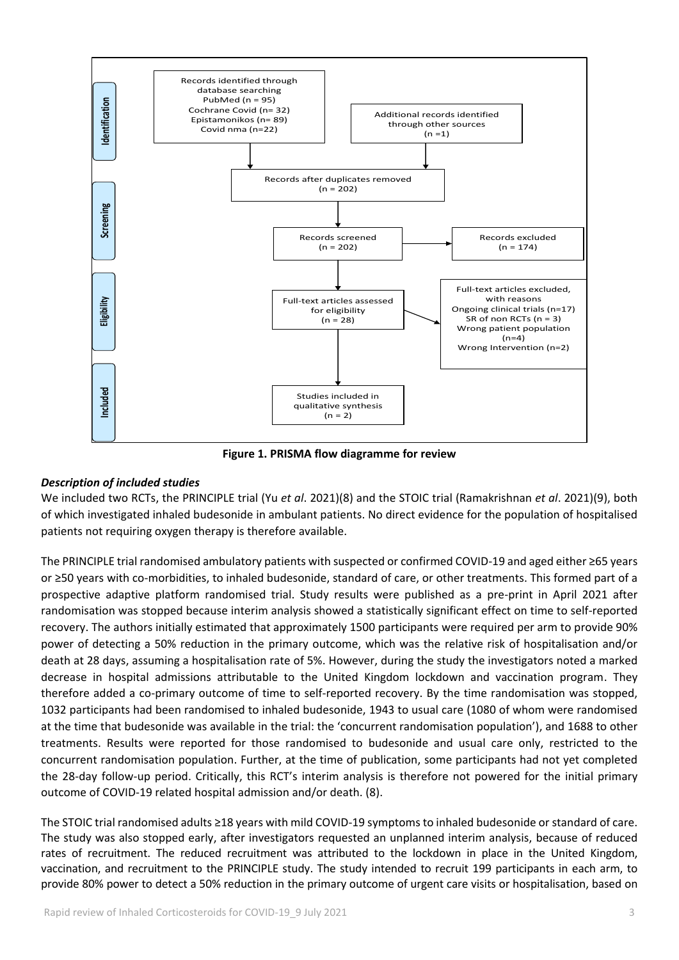

**Figure 1. PRISMA flow diagramme for review**

### *Description of included studies*

We included two RCTs, the PRINCIPLE trial (Yu *et al*. 2021)(8) and the STOIC trial (Ramakrishnan *et al*. 2021)(9), both of which investigated inhaled budesonide in ambulant patients. No direct evidence for the population of hospitalised patients not requiring oxygen therapy is therefore available.

The PRINCIPLE trial randomised ambulatory patients with suspected or confirmed COVID-19 and aged either ≥65 years or ≥50 years with co-morbidities, to inhaled budesonide, standard of care, or other treatments. This formed part of a prospective adaptive platform randomised trial. Study results were published as a pre-print in April 2021 after randomisation was stopped because interim analysis showed a statistically significant effect on time to self-reported recovery. The authors initially estimated that approximately 1500 participants were required per arm to provide 90% power of detecting a 50% reduction in the primary outcome, which was the relative risk of hospitalisation and/or death at 28 days, assuming a hospitalisation rate of 5%. However, during the study the investigators noted a marked decrease in hospital admissions attributable to the United Kingdom lockdown and vaccination program. They therefore added a co-primary outcome of time to self-reported recovery. By the time randomisation was stopped, 1032 participants had been randomised to inhaled budesonide, 1943 to usual care (1080 of whom were randomised at the time that budesonide was available in the trial: the 'concurrent randomisation population'), and 1688 to other treatments. Results were reported for those randomised to budesonide and usual care only, restricted to the concurrent randomisation population. Further, at the time of publication, some participants had not yet completed the 28-day follow-up period. Critically, this RCT's interim analysis is therefore not powered for the initial primary outcome of COVID-19 related hospital admission and/or death. (8).

The STOIC trial randomised adults ≥18 years with mild COVID-19 symptoms to inhaled budesonide or standard of care. The study was also stopped early, after investigators requested an unplanned interim analysis, because of reduced rates of recruitment. The reduced recruitment was attributed to the lockdown in place in the United Kingdom, vaccination, and recruitment to the PRINCIPLE study. The study intended to recruit 199 participants in each arm, to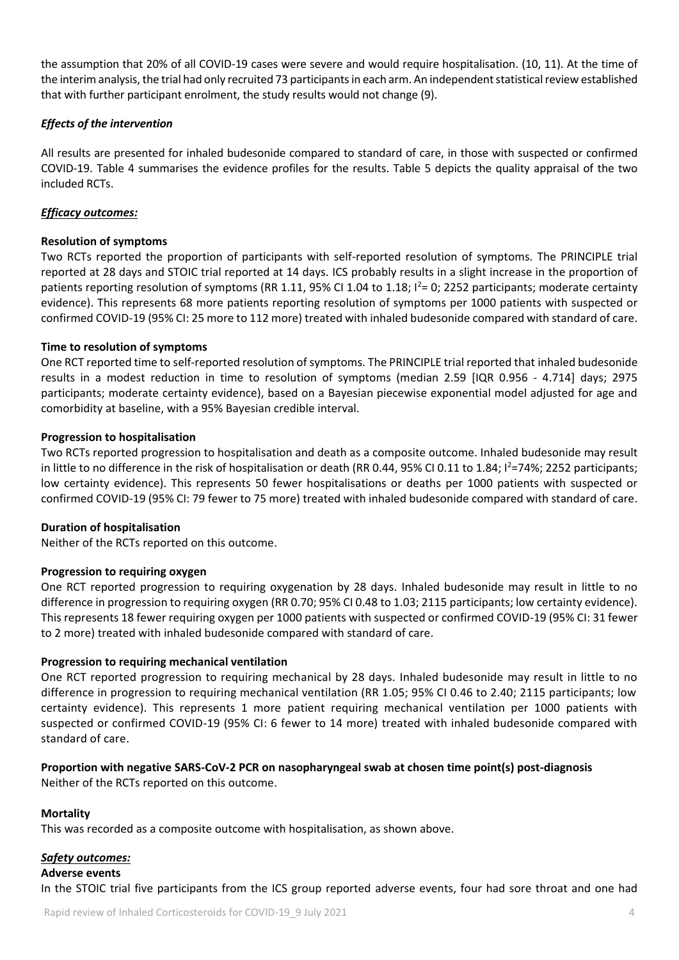the assumption that 20% of all COVID-19 cases were severe and would require hospitalisation. (10, 11). At the time of the interim analysis, the trial had only recruited 73 participants in each arm. An independent statistical review established that with further participant enrolment, the study results would not change (9).

### *Effects of the intervention*

All results are presented for inhaled budesonide compared to standard of care, in those with suspected or confirmed COVID-19. Table 4 summarises the evidence profiles for the results. Table 5 depicts the quality appraisal of the two included RCTs.

### *Efficacy outcomes:*

### **Resolution of symptoms**

Two RCTs reported the proportion of participants with self-reported resolution of symptoms. The PRINCIPLE trial reported at 28 days and STOIC trial reported at 14 days. ICS probably results in a slight increase in the proportion of patients reporting resolution of symptoms (RR 1.11, 95% CI 1.04 to 1.18;  $I^2=$  0; 2252 participants; moderate certainty evidence). This represents 68 more patients reporting resolution of symptoms per 1000 patients with suspected or confirmed COVID-19 (95% CI: 25 more to 112 more) treated with inhaled budesonide compared with standard of care.

### **Time to resolution of symptoms**

One RCT reported time to self-reported resolution of symptoms. The PRINCIPLE trial reported that inhaled budesonide results in a modest reduction in time to resolution of symptoms (median 2.59 [IQR 0.956 - 4.714] days; 2975 participants; moderate certainty evidence), based on a Bayesian piecewise exponential model adjusted for age and comorbidity at baseline, with a 95% Bayesian credible interval.

### **Progression to hospitalisation**

Two RCTs reported progression to hospitalisation and death as a composite outcome. Inhaled budesonide may result in little to no difference in the risk of hospitalisation or death (RR 0.44, 95% CI 0.11 to 1.84;  $l^2=74$ %; 2252 participants; low certainty evidence). This represents 50 fewer hospitalisations or deaths per 1000 patients with suspected or confirmed COVID-19 (95% CI: 79 fewer to 75 more) treated with inhaled budesonide compared with standard of care.

### **Duration of hospitalisation**

Neither of the RCTs reported on this outcome.

### **Progression to requiring oxygen**

One RCT reported progression to requiring oxygenation by 28 days. Inhaled budesonide may result in little to no difference in progression to requiring oxygen (RR 0.70; 95% CI 0.48 to 1.03; 2115 participants; low certainty evidence). This represents 18 fewer requiring oxygen per 1000 patients with suspected or confirmed COVID-19 (95% CI: 31 fewer to 2 more) treated with inhaled budesonide compared with standard of care.

### **Progression to requiring mechanical ventilation**

One RCT reported progression to requiring mechanical by 28 days. Inhaled budesonide may result in little to no difference in progression to requiring mechanical ventilation (RR 1.05; 95% CI 0.46 to 2.40; 2115 participants; low certainty evidence). This represents 1 more patient requiring mechanical ventilation per 1000 patients with suspected or confirmed COVID-19 (95% CI: 6 fewer to 14 more) treated with inhaled budesonide compared with standard of care.

#### **Proportion with negative SARS-CoV-2 PCR on nasopharyngeal swab at chosen time point(s) post-diagnosis** Neither of the RCTs reported on this outcome.

### **Mortality**

This was recorded as a composite outcome with hospitalisation, as shown above.

# *Safety outcomes:*

# **Adverse events**

In the STOIC trial five participants from the ICS group reported adverse events, four had sore throat and one had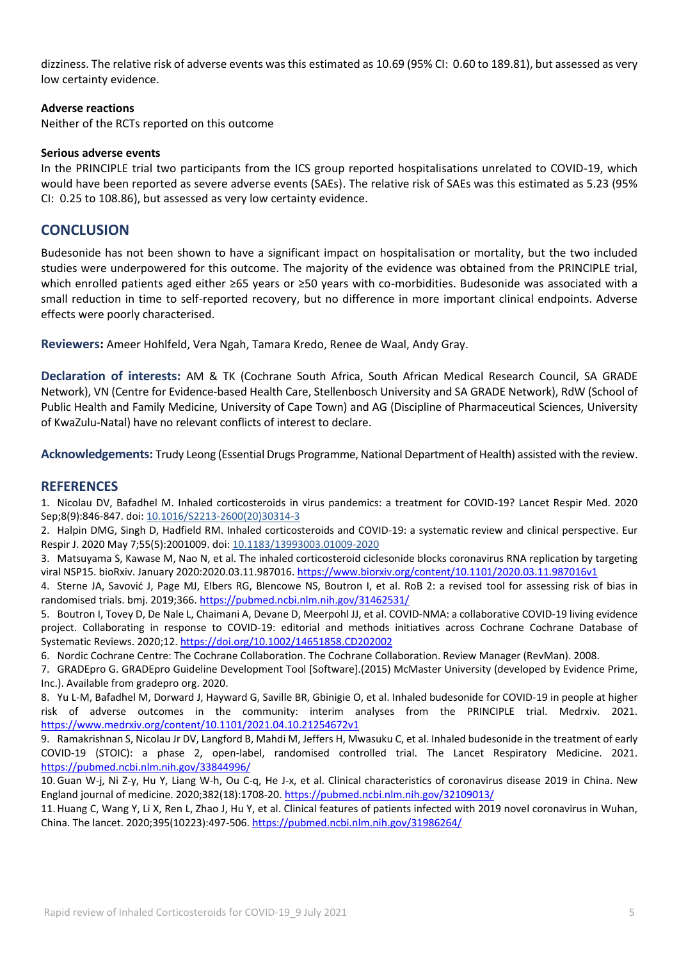dizziness. The relative risk of adverse events was this estimated as 10.69 (95% CI: 0.60 to 189.81), but assessed as very low certainty evidence.

### **Adverse reactions**

Neither of the RCTs reported on this outcome

#### **Serious adverse events**

In the PRINCIPLE trial two participants from the ICS group reported hospitalisations unrelated to COVID-19, which would have been reported as severe adverse events (SAEs). The relative risk of SAEs was this estimated as 5.23 (95% CI: 0.25 to 108.86), but assessed as very low certainty evidence.

### **CONCLUSION**

Budesonide has not been shown to have a significant impact on hospitalisation or mortality, but the two included studies were underpowered for this outcome. The majority of the evidence was obtained from the PRINCIPLE trial, which enrolled patients aged either ≥65 years or ≥50 years with co-morbidities. Budesonide was associated with a small reduction in time to self-reported recovery, but no difference in more important clinical endpoints. Adverse effects were poorly characterised.

**Reviewers:** Ameer Hohlfeld, Vera Ngah, Tamara Kredo, Renee de Waal, Andy Gray.

**Declaration of interests:** AM & TK (Cochrane South Africa, South African Medical Research Council, SA GRADE Network), VN (Centre for Evidence-based Health Care, Stellenbosch University and SA GRADE Network), RdW (School of Public Health and Family Medicine, University of Cape Town) and AG (Discipline of Pharmaceutical Sciences, University of KwaZulu-Natal) have no relevant conflicts of interest to declare.

**Acknowledgements:** Trudy Leong (Essential Drugs Programme, National Department of Health) assisted with the review.

### **REFERENCES**

1. Nicolau DV, Bafadhel M. Inhaled corticosteroids in virus pandemics: a treatment for COVID-19? Lancet Respir Med. 2020 Sep;8(9):846-847. doi[: 10.1016/S2213-2600\(20\)30314-3](https://doi.org/10.1016/s2213-2600(20)30314-3)

2. Halpin DMG, Singh D, Hadfield RM. Inhaled corticosteroids and COVID-19: a systematic review and clinical perspective. Eur Respir J. 2020 May 7;55(5):2001009. doi: [10.1183/13993003.01009-2020](https://doi.org/10.1183/13993003.01009-2020)

3. Matsuyama S, Kawase M, Nao N, et al. The inhaled corticosteroid ciclesonide blocks coronavirus RNA replication by targeting viral NSP15. bioRxiv. January 2020:2020.03.11.987016. <https://www.biorxiv.org/content/10.1101/2020.03.11.987016v1>

4. Sterne JA, Savović J, Page MJ, Elbers RG, Blencowe NS, Boutron I, et al. RoB 2: a revised tool for assessing risk of bias in randomised trials. bmj. 2019;366. <https://pubmed.ncbi.nlm.nih.gov/31462531/>

5. Boutron I, Tovey D, De Nale L, Chaimani A, Devane D, Meerpohl JJ, et al. COVID-NMA: a collaborative COVID-19 living evidence project. Collaborating in response to COVID-19: editorial and methods initiatives across Cochrane Cochrane Database of Systematic Reviews. 2020;12. <https://doi.org/10.1002/14651858.CD202002>

6. Nordic Cochrane Centre: The Cochrane Collaboration. The Cochrane Collaboration. Review Manager (RevMan). 2008.

7. GRADEpro G. GRADEpro Guideline Development Tool [Software].(2015) McMaster University (developed by Evidence Prime, Inc.). Available from gradepro org. 2020.

8. Yu L-M, Bafadhel M, Dorward J, Hayward G, Saville BR, Gbinigie O, et al. Inhaled budesonide for COVID-19 in people at higher risk of adverse outcomes in the community: interim analyses from the PRINCIPLE trial. Medrxiv. 2021. <https://www.medrxiv.org/content/10.1101/2021.04.10.21254672v1>

9. Ramakrishnan S, Nicolau Jr DV, Langford B, Mahdi M, Jeffers H, Mwasuku C, et al. Inhaled budesonide in the treatment of early COVID-19 (STOIC): a phase 2, open-label, randomised controlled trial. The Lancet Respiratory Medicine. 2021. <https://pubmed.ncbi.nlm.nih.gov/33844996/>

10.Guan W-j, Ni Z-y, Hu Y, Liang W-h, Ou C-q, He J-x, et al. Clinical characteristics of coronavirus disease 2019 in China. New England journal of medicine. 2020;382(18):1708-20. <https://pubmed.ncbi.nlm.nih.gov/32109013/>

11.Huang C, Wang Y, Li X, Ren L, Zhao J, Hu Y, et al. Clinical features of patients infected with 2019 novel coronavirus in Wuhan, China. The lancet. 2020;395(10223):497-506. <https://pubmed.ncbi.nlm.nih.gov/31986264/>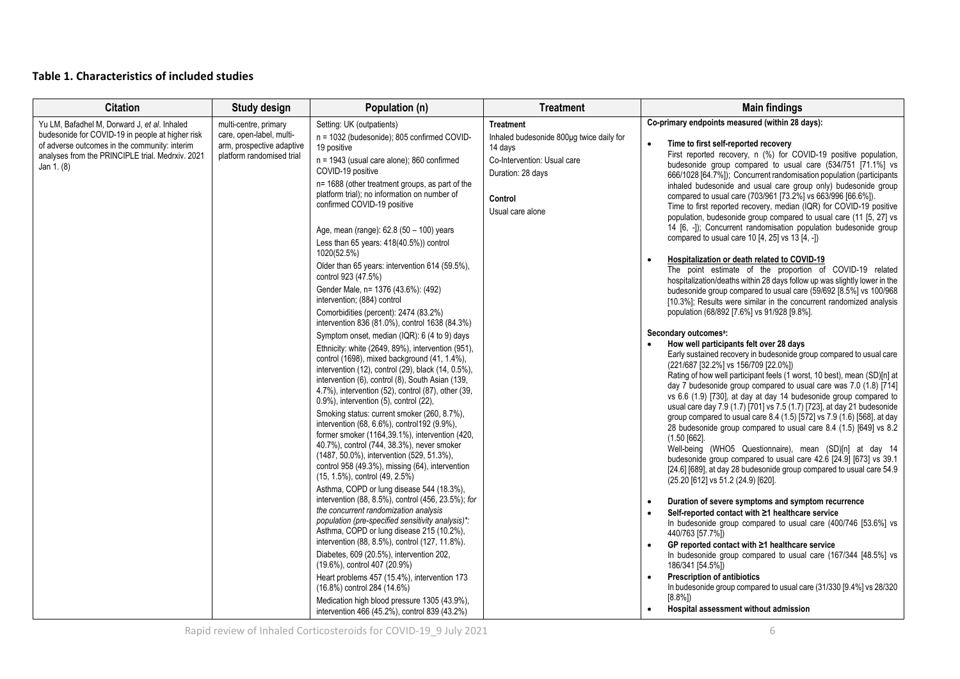# **Table 1. Characteristics of included studies**

| <b>Citation</b>                                                                                                                                                                                                     | <b>Study design</b>                                                                                         | Population (n)                                                                                                                                                                                                                                                                                                                                                                                                                                                                                                                                                                                                                                                                                                                                                                                                                                                                                                                                                                                                                                                                                                                                                                                                                                                                                                                                                                                                                                                                                                                                 | <b>Treatment</b>                                                                                                                                           | <b>Main findings</b>                                                                                                                                                                                                                                                                                                                                                                                                                                                                                                                                                                                                                                                                                                                                                                                                                                                                                                                                                                                                                                                                                                                                                                                                                                                                                                                                                                                                                                                                                                                                                                                                                                                                                                                                                                                                                                                                                                                                                                                                                                                                                                                                                                                                                |
|---------------------------------------------------------------------------------------------------------------------------------------------------------------------------------------------------------------------|-------------------------------------------------------------------------------------------------------------|------------------------------------------------------------------------------------------------------------------------------------------------------------------------------------------------------------------------------------------------------------------------------------------------------------------------------------------------------------------------------------------------------------------------------------------------------------------------------------------------------------------------------------------------------------------------------------------------------------------------------------------------------------------------------------------------------------------------------------------------------------------------------------------------------------------------------------------------------------------------------------------------------------------------------------------------------------------------------------------------------------------------------------------------------------------------------------------------------------------------------------------------------------------------------------------------------------------------------------------------------------------------------------------------------------------------------------------------------------------------------------------------------------------------------------------------------------------------------------------------------------------------------------------------|------------------------------------------------------------------------------------------------------------------------------------------------------------|-------------------------------------------------------------------------------------------------------------------------------------------------------------------------------------------------------------------------------------------------------------------------------------------------------------------------------------------------------------------------------------------------------------------------------------------------------------------------------------------------------------------------------------------------------------------------------------------------------------------------------------------------------------------------------------------------------------------------------------------------------------------------------------------------------------------------------------------------------------------------------------------------------------------------------------------------------------------------------------------------------------------------------------------------------------------------------------------------------------------------------------------------------------------------------------------------------------------------------------------------------------------------------------------------------------------------------------------------------------------------------------------------------------------------------------------------------------------------------------------------------------------------------------------------------------------------------------------------------------------------------------------------------------------------------------------------------------------------------------------------------------------------------------------------------------------------------------------------------------------------------------------------------------------------------------------------------------------------------------------------------------------------------------------------------------------------------------------------------------------------------------------------------------------------------------------------------------------------------------|
| Yu LM, Bafadhel M, Dorward J, et al. Inhaled<br>budesonide for COVID-19 in people at higher risk<br>of adverse outcomes in the community: interim<br>analyses from the PRINCIPLE trial. Medrxiv. 2021<br>Jan 1. (8) | multi-centre, primary<br>care, open-label, multi-<br>arm, prospective adaptive<br>platform randomised trial | Setting: UK (outpatients)<br>n = 1032 (budesonide); 805 confirmed COVID-<br>19 positive<br>$n = 1943$ (usual care alone); 860 confirmed<br>COVID-19 positive<br>n= 1688 (other treatment groups, as part of the<br>platform trial); no information on number of<br>confirmed COVID-19 positive<br>Age, mean (range): 62.8 (50 - 100) years<br>Less than 65 years: 418(40.5%)) control<br>1020(52.5%)<br>Older than 65 years: intervention 614 (59.5%),<br>control 923 (47.5%)<br>Gender Male, n= 1376 (43.6%): (492)<br>intervention; (884) control<br>Comorbidities (percent): 2474 (83.2%)<br>intervention 836 (81.0%), control 1638 (84.3%)<br>Symptom onset, median (IQR): 6 (4 to 9) days<br>Ethnicity: white (2649, 89%), intervention (951),<br>control (1698), mixed background (41, 1.4%),<br>intervention (12), control (29), black (14, 0.5%),<br>intervention (6), control (8), South Asian (139,<br>4.7%), intervention (52), control (87), other (39,<br>0.9%), intervention (5), control (22),<br>Smoking status: current smoker (260, 8.7%),<br>intervention (68, 6.6%), control192 (9.9%),<br>former smoker (1164,39.1%), intervention (420,<br>40.7%), control (744, 38.3%), never smoker<br>(1487, 50.0%), intervention (529, 51.3%),<br>control 958 (49.3%), missing (64), intervention<br>(15, 1.5%), control (49, 2.5%)<br>Asthma, COPD or lung disease 544 (18.3%),<br>intervention (88, 8.5%), control (456, 23.5%); for<br>the concurrent randomization analysis<br>population (pre-specified sensitivity analysis)*: | <b>Treatment</b><br>Inhaled budesonide 800µg twice daily for<br>14 days<br>Co-Intervention: Usual care<br>Duration: 28 days<br>Control<br>Usual care alone | Co-primary endpoints measured (within 28 days):<br>$\bullet$<br>Time to first self-reported recovery<br>First reported recovery, n (%) for COVID-19 positive population,<br>budesonide group compared to usual care (534/751 [71.1%] vs<br>666/1028 [64.7%]); Concurrent randomisation population (participants<br>inhaled budesonide and usual care group only) budesonide group<br>compared to usual care (703/961 [73.2%] vs 663/996 [66.6%]).<br>Time to first reported recovery, median (IQR) for COVID-19 positive<br>population, budesonide group compared to usual care (11 [5, 27] vs<br>14 [6, -]); Concurrent randomisation population budesonide group<br>compared to usual care 10 $[4, 25]$ vs 13 $[4, -1)$<br>Hospitalization or death related to COVID-19<br>$\bullet$<br>The point estimate of the proportion of COVID-19 related<br>hospitalization/deaths within 28 days follow up was slightly lower in the<br>budesonide group compared to usual care (59/692 [8.5%] vs 100/968<br>[10.3%]; Results were similar in the concurrent randomized analysis<br>population (68/892 [7.6%] vs 91/928 [9.8%].<br>Secondary outcomes <sup>a</sup> :<br>How well participants felt over 28 days<br>Early sustained recovery in budesonide group compared to usual care<br>(221/687 [32.2%] vs 156/709 [22.0%])<br>Rating of how well participant feels (1 worst, 10 best), mean (SD)[n] at<br>day 7 budesonide group compared to usual care was 7.0 (1.8) [714]<br>vs 6.6 (1.9) [730], at day at day 14 budesonide group compared to<br>usual care day 7.9 (1.7) [701] vs 7.5 (1.7) [723], at day 21 budesonide<br>group compared to usual care 8.4 (1.5) [572] vs 7.9 (1.6) [568], at day<br>28 budesonide group compared to usual care 8.4 (1.5) [649] vs 8.2<br>$(1.50$ [662].<br>Well-being (WHO5 Questionnaire), mean (SD)[n] at day 14<br>budesonide group compared to usual care 42.6 [24.9] [673] vs 39.1<br>[24.6] [689], at day 28 budesonide group compared to usual care 54.9<br>(25.20 [612] vs 51.2 (24.9) [620].<br>Duration of severe symptoms and symptom recurrence<br>$\bullet$<br>Self-reported contact with ≥1 healthcare service<br>In budesonide group compared to usual care (400/746 [53.6%] vs |
|                                                                                                                                                                                                                     |                                                                                                             | Asthma, COPD or lung disease 215 (10.2%),<br>intervention (88, 8.5%), control (127, 11.8%).<br>Diabetes, 609 (20.5%), intervention 202,<br>(19.6%), control 407 (20.9%)<br>Heart problems 457 (15.4%), intervention 173<br>(16.8%) control 284 (14.6%)                                                                                                                                                                                                                                                                                                                                                                                                                                                                                                                                                                                                                                                                                                                                                                                                                                                                                                                                                                                                                                                                                                                                                                                                                                                                                         |                                                                                                                                                            | 440/763 [57.7%])<br>GP reported contact with $\geq 1$ healthcare service<br>$\bullet$<br>In budesonide group compared to usual care (167/344 [48.5%] vs<br>186/341 [54.5%])<br><b>Prescription of antibiotics</b><br>In budesonide group compared to usual care (31/330 [9.4%] vs 28/320                                                                                                                                                                                                                                                                                                                                                                                                                                                                                                                                                                                                                                                                                                                                                                                                                                                                                                                                                                                                                                                                                                                                                                                                                                                                                                                                                                                                                                                                                                                                                                                                                                                                                                                                                                                                                                                                                                                                            |
|                                                                                                                                                                                                                     |                                                                                                             | Medication high blood pressure 1305 (43.9%),<br>intervention 466 (45.2%), control 839 (43.2%)                                                                                                                                                                                                                                                                                                                                                                                                                                                                                                                                                                                                                                                                                                                                                                                                                                                                                                                                                                                                                                                                                                                                                                                                                                                                                                                                                                                                                                                  |                                                                                                                                                            | $[8.8\%]$<br>Hospital assessment without admission<br>$\bullet$                                                                                                                                                                                                                                                                                                                                                                                                                                                                                                                                                                                                                                                                                                                                                                                                                                                                                                                                                                                                                                                                                                                                                                                                                                                                                                                                                                                                                                                                                                                                                                                                                                                                                                                                                                                                                                                                                                                                                                                                                                                                                                                                                                     |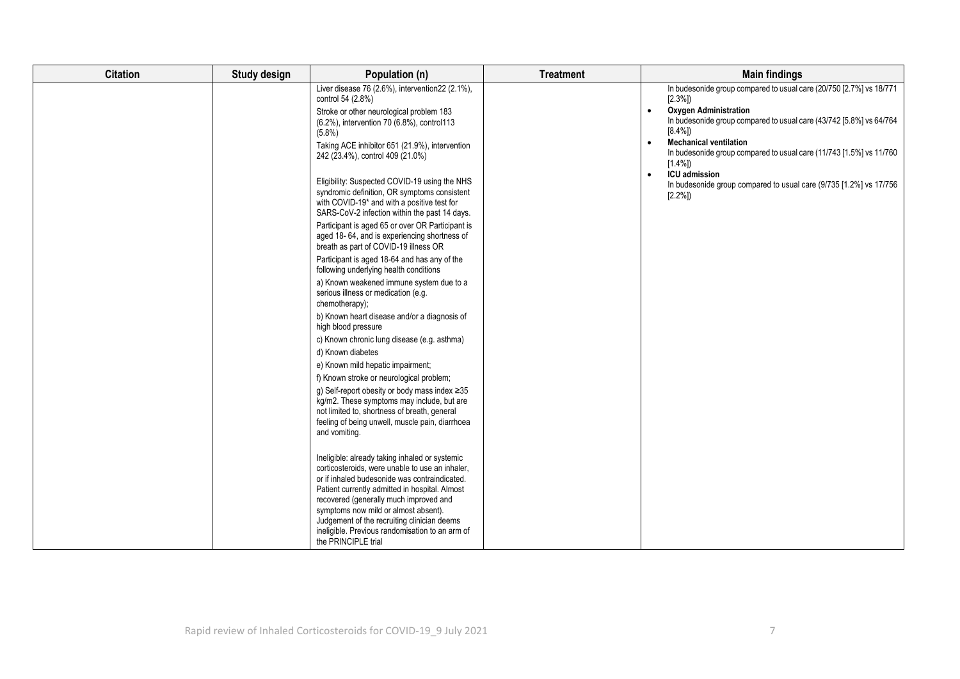| <b>Citation</b> | Study design | Population (n)                                                                                                                                                                                                                                                                                                                                                                                                                                                                                                                                                                                                                                                                                                                                                                                                                                                                                                                                                                                                                                                                                                                                                                                                                                                             | <b>Treatment</b> | <b>Main findings</b>                                                                                                                                                                                                                                                                                                                                                                                                                                                        |
|-----------------|--------------|----------------------------------------------------------------------------------------------------------------------------------------------------------------------------------------------------------------------------------------------------------------------------------------------------------------------------------------------------------------------------------------------------------------------------------------------------------------------------------------------------------------------------------------------------------------------------------------------------------------------------------------------------------------------------------------------------------------------------------------------------------------------------------------------------------------------------------------------------------------------------------------------------------------------------------------------------------------------------------------------------------------------------------------------------------------------------------------------------------------------------------------------------------------------------------------------------------------------------------------------------------------------------|------------------|-----------------------------------------------------------------------------------------------------------------------------------------------------------------------------------------------------------------------------------------------------------------------------------------------------------------------------------------------------------------------------------------------------------------------------------------------------------------------------|
|                 |              | Liver disease 76 (2.6%), intervention 22 (2.1%),<br>control 54 (2.8%)<br>Stroke or other neurological problem 183<br>(6.2%), intervention 70 (6.8%), control113<br>$(5.8\%)$<br>Taking ACE inhibitor 651 (21.9%), intervention<br>242 (23.4%), control 409 (21.0%)<br>Eligibility: Suspected COVID-19 using the NHS<br>syndromic definition, OR symptoms consistent<br>with COVID-19 <sup>*</sup> and with a positive test for<br>SARS-CoV-2 infection within the past 14 days.<br>Participant is aged 65 or over OR Participant is<br>aged 18-64, and is experiencing shortness of<br>breath as part of COVID-19 illness OR<br>Participant is aged 18-64 and has any of the<br>following underlying health conditions<br>a) Known weakened immune system due to a<br>serious illness or medication (e.g.<br>chemotherapy);<br>b) Known heart disease and/or a diagnosis of<br>high blood pressure<br>c) Known chronic lung disease (e.g. asthma)<br>d) Known diabetes<br>e) Known mild hepatic impairment;<br>f) Known stroke or neurological problem;<br>g) Self-report obesity or body mass index ≥35<br>kg/m2. These symptoms may include, but are<br>not limited to, shortness of breath, general<br>feeling of being unwell, muscle pain, diarrhoea<br>and vomiting. |                  | In budesonide group compared to usual care (20/750 [2.7%] vs 18/771<br>$[2.3\%]$<br><b>Oxygen Administration</b><br>$\bullet$<br>In budesonide group compared to usual care (43/742 [5.8%] vs 64/764<br>$[8.4\%]$<br><b>Mechanical ventilation</b><br>$\bullet$<br>In budesonide group compared to usual care (11/743 [1.5%] vs 11/760<br>$[1.4\%]$<br><b>ICU</b> admission<br>$\bullet$<br>In budesonide group compared to usual care (9/735 [1.2%] vs 17/756<br>$[2.2\%]$ |
|                 |              | Ineligible: already taking inhaled or systemic<br>corticosteroids, were unable to use an inhaler,<br>or if inhaled budesonide was contraindicated.<br>Patient currently admitted in hospital. Almost<br>recovered (generally much improved and<br>symptoms now mild or almost absent).<br>Judgement of the recruiting clinician deems<br>ineligible. Previous randomisation to an arm of<br>the PRINCIPLE trial                                                                                                                                                                                                                                                                                                                                                                                                                                                                                                                                                                                                                                                                                                                                                                                                                                                            |                  |                                                                                                                                                                                                                                                                                                                                                                                                                                                                             |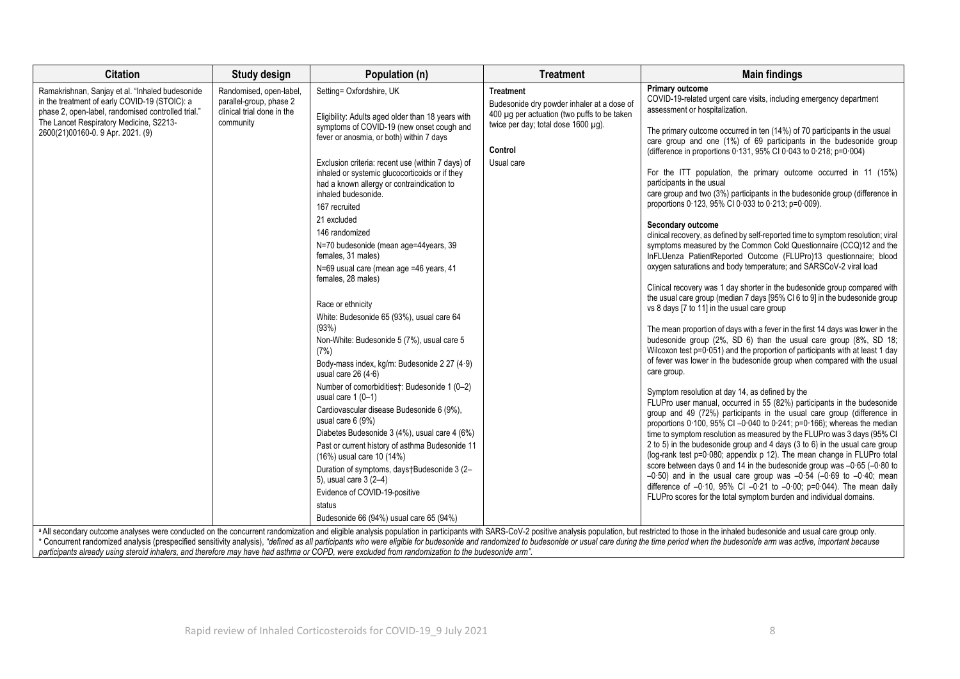| <b>Citation</b>                                                                                                                                                                                                                        | Study design                                                                                 | Population (n)                                                                                                                                                                                                                                                                                                                                                                                                                                                                                                                                                                                                                                                                                                                                                                                                                                                                                                                                                                                                                                                                                                                                                                          | <b>Treatment</b>                                                                                                                                                              | <b>Main findings</b>                                                                                                                                                                                                                                                                                                                                                                                                                                                                                                                                                                                                                                                                                                                                                                                                                                                                                                                                                                                                                                                                                                                                                                                                                                                                                                                                                                                                                                                                                                                                                                                                                                                                                                                                                                                                                                                                                                                                                                                                                                                                                                                                                                                                                                                                                                                                                                                                                                                                                                                                                        |
|----------------------------------------------------------------------------------------------------------------------------------------------------------------------------------------------------------------------------------------|----------------------------------------------------------------------------------------------|-----------------------------------------------------------------------------------------------------------------------------------------------------------------------------------------------------------------------------------------------------------------------------------------------------------------------------------------------------------------------------------------------------------------------------------------------------------------------------------------------------------------------------------------------------------------------------------------------------------------------------------------------------------------------------------------------------------------------------------------------------------------------------------------------------------------------------------------------------------------------------------------------------------------------------------------------------------------------------------------------------------------------------------------------------------------------------------------------------------------------------------------------------------------------------------------|-------------------------------------------------------------------------------------------------------------------------------------------------------------------------------|-----------------------------------------------------------------------------------------------------------------------------------------------------------------------------------------------------------------------------------------------------------------------------------------------------------------------------------------------------------------------------------------------------------------------------------------------------------------------------------------------------------------------------------------------------------------------------------------------------------------------------------------------------------------------------------------------------------------------------------------------------------------------------------------------------------------------------------------------------------------------------------------------------------------------------------------------------------------------------------------------------------------------------------------------------------------------------------------------------------------------------------------------------------------------------------------------------------------------------------------------------------------------------------------------------------------------------------------------------------------------------------------------------------------------------------------------------------------------------------------------------------------------------------------------------------------------------------------------------------------------------------------------------------------------------------------------------------------------------------------------------------------------------------------------------------------------------------------------------------------------------------------------------------------------------------------------------------------------------------------------------------------------------------------------------------------------------------------------------------------------------------------------------------------------------------------------------------------------------------------------------------------------------------------------------------------------------------------------------------------------------------------------------------------------------------------------------------------------------------------------------------------------------------------------------------------------------|
| Ramakrishnan, Sanjay et al. "Inhaled budesonide<br>in the treatment of early COVID-19 (STOIC): a<br>phase 2, open-label, randomised controlled trial."<br>The Lancet Respiratory Medicine, S2213-<br>2600(21)00160-0. 9 Apr. 2021. (9) | Randomised, open-label<br>parallel-group, phase 2<br>clinical trial done in the<br>community | Setting= Oxfordshire, UK<br>Eligibility: Adults aged older than 18 years with<br>symptoms of COVID-19 (new onset cough and<br>fever or anosmia, or both) within 7 days<br>Exclusion criteria: recent use (within 7 days) of<br>inhaled or systemic glucocorticoids or if they<br>had a known allergy or contraindication to<br>inhaled budesonide.<br>167 recruited<br>21 excluded<br>146 randomized<br>N=70 budesonide (mean age=44years, 39<br>females. 31 males)<br>N=69 usual care (mean age =46 years, 41<br>females, 28 males)<br>Race or ethnicity<br>White: Budesonide 65 (93%), usual care 64<br>(93%)<br>Non-White: Budesonide 5 (7%), usual care 5<br>(7%)<br>Body-mass index, kg/m: Budesonide 2 27 (4.9)<br>usual care 26 $(4.6)$<br>Number of comorbidities†: Budesonide 1 (0-2)<br>usual care $1(0-1)$<br>Cardiovascular disease Budesonide 6 (9%),<br>usual care 6 (9%)<br>Diabetes Budesonide 3 (4%), usual care 4 (6%)<br>Past or current history of asthma Budesonide 11<br>(16%) usual care 10 (14%)<br>Duration of symptoms, days†Budesonide 3 (2-<br>5), usual care 3 (2-4)<br>Evidence of COVID-19-positive<br>status<br>Budesonide 66 (94%) usual care 65 (94%) | <b>Treatment</b><br>Budesonide dry powder inhaler at a dose of<br>400 µg per actuation (two puffs to be taken<br>twice per day; total dose 1600 µq).<br>Control<br>Usual care | <b>Primary outcome</b><br>COVID-19-related urgent care visits, including emergency department<br>assessment or hospitalization.<br>The primary outcome occurred in ten (14%) of 70 participants in the usual<br>care group and one (1%) of 69 participants in the budesonide group<br>(difference in proportions $0.131$ , 95% CI $0.043$ to $0.218$ ; p= $0.004$ )<br>For the ITT population, the primary outcome occurred in 11 (15%)<br>participants in the usual<br>care group and two (3%) participants in the budesonide group (difference in<br>proportions 0.123, 95% CI 0.033 to 0.213, p=0.009).<br>Secondary outcome<br>clinical recovery, as defined by self-reported time to symptom resolution; viral<br>symptoms measured by the Common Cold Questionnaire (CCQ)12 and the<br>InFLUenza PatientReported Outcome (FLUPro)13 questionnaire; blood<br>oxygen saturations and body temperature; and SARSCoV-2 viral load<br>Clinical recovery was 1 day shorter in the budesonide group compared with<br>the usual care group (median 7 days [95% CI 6 to 9] in the budesonide group<br>vs 8 days [7 to 11] in the usual care group<br>The mean proportion of days with a fever in the first 14 days was lower in the<br>budesonide group (2%, SD 6) than the usual care group (8%, SD 18;<br>Wilcoxon test p=0.051) and the proportion of participants with at least 1 day<br>of fever was lower in the budesonide group when compared with the usual<br>care group.<br>Symptom resolution at day 14, as defined by the<br>FLUPro user manual, occurred in 55 (82%) participants in the budesonide<br>group and 49 (72%) participants in the usual care group (difference in<br>proportions $0.100$ , 95% CI -0.040 to $0.241$ ; p= $0.166$ ); whereas the median<br>time to symptom resolution as measured by the FLUPro was 3 days (95% CI<br>2 to 5) in the budesonide group and 4 days (3 to 6) in the usual care group<br>(log-rank test p=0.080; appendix p 12). The mean change in FLUPro total<br>score between days 0 and 14 in the budesonide group was $-0.65$ ( $-0.80$ to<br>$-0.50$ ) and in the usual care group was $-0.54$ ( $-0.69$ to $-0.40$ ; mean<br>difference of $-0.10$ , 95% CI $-0.21$ to $-0.00$ ; p=0.044). The mean daily<br>FLUPro scores for the total symptom burden and individual domains.<br>a All secondary outcome analyses were conducted on the concurrent randomization and eligible analysis population in participants with SARS-CoV-2 positive analysis population, but restricted to those in the inhaled budesoni |
|                                                                                                                                                                                                                                        |                                                                                              |                                                                                                                                                                                                                                                                                                                                                                                                                                                                                                                                                                                                                                                                                                                                                                                                                                                                                                                                                                                                                                                                                                                                                                                         |                                                                                                                                                                               | opportunity and processing consider the consideration of the consideration of the consideration of the consideration of the budoopid of the consideration of the budoopide or usual open during the time period when the budoo                                                                                                                                                                                                                                                                                                                                                                                                                                                                                                                                                                                                                                                                                                                                                                                                                                                                                                                                                                                                                                                                                                                                                                                                                                                                                                                                                                                                                                                                                                                                                                                                                                                                                                                                                                                                                                                                                                                                                                                                                                                                                                                                                                                                                                                                                                                                              |

\* Concurrent randomized analysis (prespecified sensitivity analysis), "defined as all participants who were eligible for budesonide and randomized to budesonide or usual care during the time period when the budesonide arm *participants already using steroid inhalers, and therefore may have had asthma or COPD, were excluded from randomization to the budesonide arm".*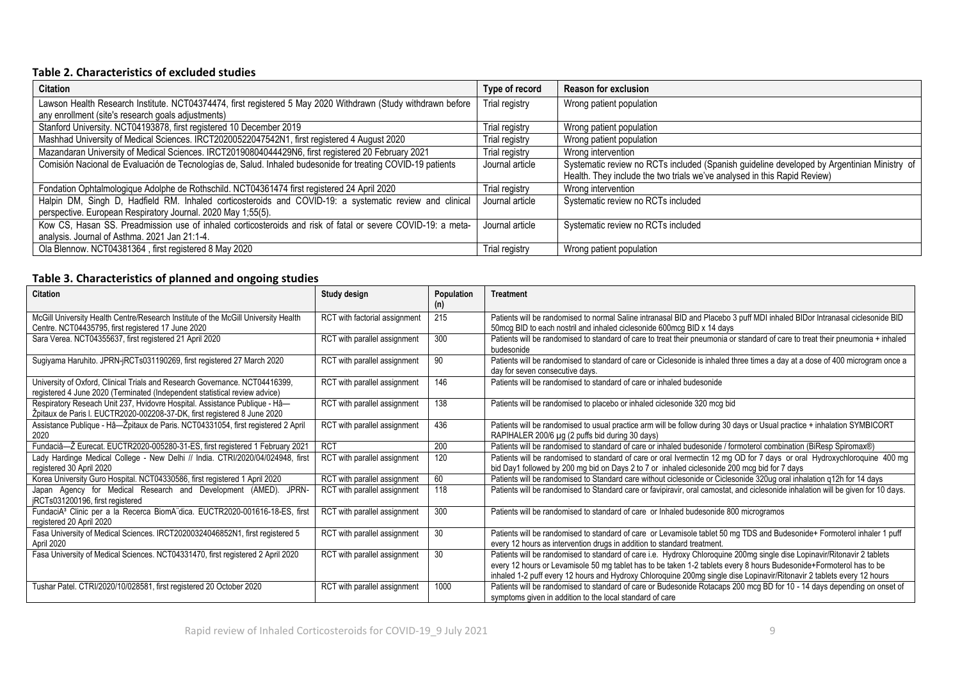### **Table 2. Characteristics of excluded studies**

| <b>Citation</b>                                                                                              | Type of record  | <b>Reason for exclusion</b>                                                                |
|--------------------------------------------------------------------------------------------------------------|-----------------|--------------------------------------------------------------------------------------------|
| Lawson Health Research Institute. NCT04374474, first registered 5 May 2020 Withdrawn (Study withdrawn before | Trial registry  | Wrong patient population                                                                   |
| any enrollment (site's research goals adjustments)                                                           |                 |                                                                                            |
| Stanford University. NCT04193878, first registered 10 December 2019                                          | Trial registry  | Wrong patient population                                                                   |
| Mashhad University of Medical Sciences. IRCT20200522047542N1, first registered 4 August 2020                 | Trial registry  | Wrong patient population                                                                   |
| Mazandaran University of Medical Sciences. IRCT20190804044429N6, first registered 20 February 2021           | Trial registry  | Wrong intervention                                                                         |
| Comisión Nacional de Evaluación de Tecnologías de, Salud. Inhaled budesonide for treating COVID-19 patients  | Journal article | Systematic review no RCTs included (Spanish guideline developed by Argentinian Ministry of |
|                                                                                                              |                 | Health. They include the two trials we've analysed in this Rapid Review)                   |
| Fondation Ophtalmologique Adolphe de Rothschild. NCT04361474 first registered 24 April 2020                  | Trial registry  | Wrong intervention                                                                         |
| Halpin DM, Singh D, Hadfield RM. Inhaled corticosteroids and COVID-19: a systematic review and clinical      | Journal article | Systematic review no RCTs included                                                         |
| perspective. European Respiratory Journal. 2020 May 1;55(5).                                                 |                 |                                                                                            |
| Kow CS, Hasan SS. Preadmission use of inhaled corticosteroids and risk of fatal or severe COVID-19: a meta-  | Journal article | Systematic review no RCTs included                                                         |
| analysis. Journal of Asthma. 2021 Jan 21:1-4.                                                                |                 |                                                                                            |
| Ola Blennow. NCT04381364, first registered 8 May 2020                                                        | Trial registry  | Wrong patient population                                                                   |

### **Table 3. Characteristics of planned and ongoing studies**

| <b>Citation</b>                                                                                                                                           | Study design                  | Population<br>(n) | <b>Treatment</b>                                                                                                                                                                                                                                                                                                                                                          |
|-----------------------------------------------------------------------------------------------------------------------------------------------------------|-------------------------------|-------------------|---------------------------------------------------------------------------------------------------------------------------------------------------------------------------------------------------------------------------------------------------------------------------------------------------------------------------------------------------------------------------|
| McGill University Health Centre/Research Institute of the McGill University Health<br>Centre. NCT04435795, first registered 17 June 2020                  | RCT with factorial assignment | 215               | Patients will be randomised to normal Saline intranasal BID and Placebo 3 puff MDI inhaled BIDor Intranasal ciclesonide BID<br>50 mcg BID to each nostril and inhaled ciclesonide 600 mcg BID x 14 days                                                                                                                                                                   |
| Sara Verea. NCT04355637, first registered 21 April 2020                                                                                                   | RCT with parallel assignment  | 300               | Patients will be randomised to standard of care to treat their pneumonia or standard of care to treat their pneumonia + inhaled<br>budesonide                                                                                                                                                                                                                             |
| Sugiyama Haruhito. JPRN-jRCTs031190269, first registered 27 March 2020                                                                                    | RCT with parallel assignment  | 90                | Patients will be randomised to standard of care or Ciclesonide is inhaled three times a day at a dose of 400 microgram once a<br>day for seven consecutive days.                                                                                                                                                                                                          |
| University of Oxford, Clinical Trials and Research Governance. NCT04416399,<br>registered 4 June 2020 (Terminated (Independent statistical review advice) | RCT with parallel assignment  | 146               | Patients will be randomised to standard of care or inhaled budesonide                                                                                                                                                                                                                                                                                                     |
| Respiratory Reseach Unit 237, Hvidovre Hospital. Assistance Publique - Hâ-<br>Žpitaux de Paris I. EUCTR2020-002208-37-DK, first registered 8 June 2020    | RCT with parallel assignment  | 138               | Patients will be randomised to placebo or inhaled ciclesonide 320 mcg bid                                                                                                                                                                                                                                                                                                 |
| Assistance Publique - Hâ-Žpitaux de Paris. NCT04331054, first registered 2 April<br>2020                                                                  | RCT with parallel assignment  | 436               | Patients will be randomised to usual practice arm will be follow during 30 days or Usual practice + inhalation SYMBICORT<br>RAPIHALER 200/6 µg (2 puffs bid during 30 days)                                                                                                                                                                                               |
| Fundaciâ-Ž Eurecat. EUCTR2020-005280-31-ES, first registered 1 February 2021                                                                              | <b>RCT</b>                    | 200               | Patients will be randomised to standard of care or inhaled budesonide / formoterol combination (BiResp Spiromax®)                                                                                                                                                                                                                                                         |
| Lady Hardinge Medical College - New Delhi // India. CTRI/2020/04/024948, first<br>registered 30 April 2020                                                | RCT with parallel assignment  | 120               | Patients will be randomised to standard of care or oral Ivermectin 12 mg OD for 7 days or oral Hydroxychloroquine 400 mg<br>bid Day1 followed by 200 mg bid on Days 2 to 7 or inhaled ciclesonide 200 mcg bid for 7 days                                                                                                                                                  |
| Korea University Guro Hospital. NCT04330586, first registered 1 April 2020                                                                                | RCT with parallel assignment  | 60                | Patients will be randomised to Standard care without ciclesonide or Ciclesonide 320ug oral inhalation q12h for 14 days                                                                                                                                                                                                                                                    |
| Japan Agency for Medical Research and Development (AMED). JPRN-<br>jRCTs031200196, first registered                                                       | RCT with parallel assignment  | 118               | Patients will be randomised to Standard care or favipiravir, oral camostat, and ciclesonide inhalation will be given for 10 days.                                                                                                                                                                                                                                         |
| FundaciA <sup>3</sup> Clinic per a la Recerca BiomA"dica. EUCTR2020-001616-18-ES, first<br>registered 20 April 2020                                       | RCT with parallel assignment  | 300               | Patients will be randomised to standard of care or Inhaled budesonide 800 microgramos                                                                                                                                                                                                                                                                                     |
| Fasa University of Medical Sciences. IRCT20200324046852N1, first registered 5<br>April 2020                                                               | RCT with parallel assignment  | 30                | Patients will be randomised to standard of care or Levamisole tablet 50 mg TDS and Budesonide+ Formoterol inhaler 1 puff<br>every 12 hours as intervention drugs in addition to standard treatment.                                                                                                                                                                       |
| Fasa University of Medical Sciences. NCT04331470, first registered 2 April 2020                                                                           | RCT with parallel assignment  | 30                | Patients will be randomised to standard of care i.e. Hydroxy Chloroquine 200mg single dise Lopinavir/Ritonavir 2 tablets<br>every 12 hours or Levamisole 50 mg tablet has to be taken 1-2 tablets every 8 hours Budesonide+Formoterol has to be<br>inhaled 1-2 puff every 12 hours and Hydroxy Chloroquine 200mg single dise Lopinavir/Ritonavir 2 tablets every 12 hours |
| Tushar Patel. CTRI/2020/10/028581, first registered 20 October 2020                                                                                       | RCT with parallel assignment  | 1000              | Patients will be randomised to standard of care or Budesonide Rotacaps 200 mcg BD for 10 - 14 days depending on onset of<br>symptoms given in addition to the local standard of care                                                                                                                                                                                      |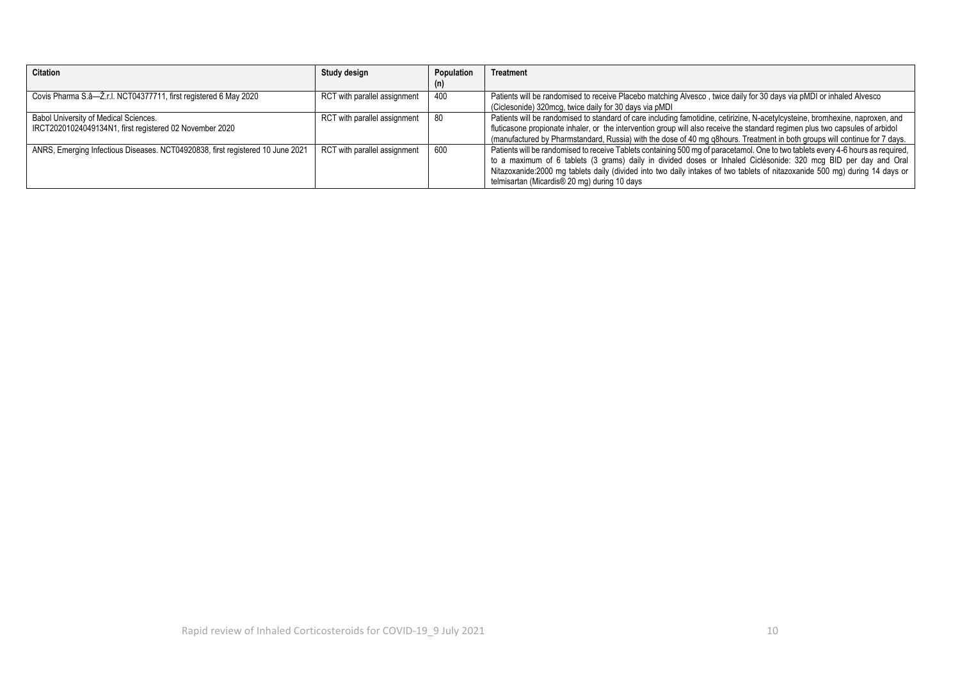| <b>Citation</b>                                                                | Study design                 | Population | Treatment                                                                                                                        |
|--------------------------------------------------------------------------------|------------------------------|------------|----------------------------------------------------------------------------------------------------------------------------------|
|                                                                                |                              |            |                                                                                                                                  |
| Covis Pharma S.a-Z.r.l. NCT04377711, first registered 6 May 2020               | RCT with parallel assignment | 400        | Patients will be randomised to receive Placebo matching Alvesco, twice daily for 30 days via pMDI or inhaled Alvesco             |
|                                                                                |                              |            | (Ciclesonide) 320mcg, twice daily for 30 days via pMDI                                                                           |
| Babol University of Medical Sciences.                                          | RCT with parallel assignment | - 80       | Patients will be randomised to standard of care including famotidine, cetirizine, N-acetylcysteine, bromhexine, naproxen, and    |
| IRCT20201024049134N1, first registered 02 November 2020                        |                              |            | fluticasone propionate inhaler, or the intervention group will also receive the standard regimen plus two capsules of arbidol    |
|                                                                                |                              |            | (manufactured by Pharmstandard, Russia) with the dose of 40 mg q8hours. Treatment in both groups will continue for 7 days.       |
| ANRS, Emerging Infectious Diseases. NCT04920838, first registered 10 June 2021 | RCT with parallel assignment | 600        | Patients will be randomised to receive Tablets containing 500 mg of paracetamol. One to two tablets every 4-6 hours as required, |
|                                                                                |                              |            | to a maximum of 6 tablets (3 grams) daily in divided doses or Inhaled Ciclésonide: 320 mcg BID per day and Oral                  |
|                                                                                |                              |            | Nitazoxanide:2000 mg tablets daily (divided into two daily intakes of two tablets of nitazoxanide 500 mg) during 14 days or      |
|                                                                                |                              |            | telmisartan (Micardis <sup>®</sup> 20 mg) during 10 days                                                                         |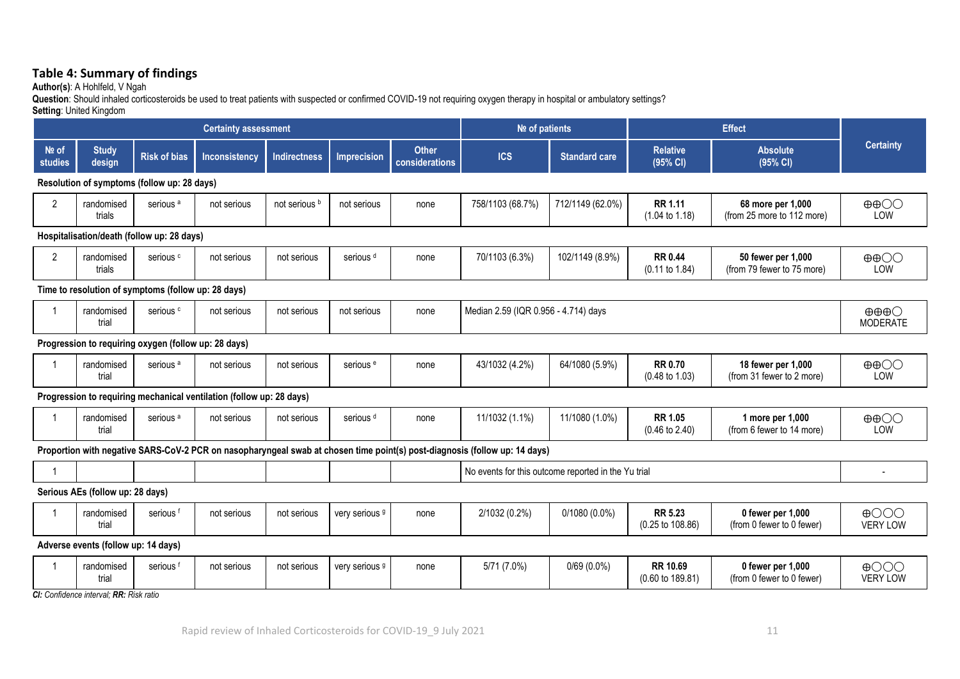### **Table 4: Summary of findings**

**Author(s)**: A Hohlfeld, V Ngah

**Question**: Should inhaled corticosteroids be used to treat patients with suspected or confirmed COVID-19 not requiring oxygen therapy in hospital or ambulatory settings?

**Setting**: United Kingdom

|                                            | <b>Certainty assessment</b>         |                                                      |                                                                      |                     |                           |                                | Nº of patients                                                                                                             |                                      | <b>Effect</b>                               |                                                  |                                    |
|--------------------------------------------|-------------------------------------|------------------------------------------------------|----------------------------------------------------------------------|---------------------|---------------------------|--------------------------------|----------------------------------------------------------------------------------------------------------------------------|--------------------------------------|---------------------------------------------|--------------------------------------------------|------------------------------------|
| Nº of<br><b>studies</b>                    | <b>Study</b><br>design              | <b>Risk of bias</b>                                  | Inconsistency                                                        | <b>Indirectness</b> | <b>Imprecision</b>        | <b>Other</b><br>considerations | <b>ICS</b>                                                                                                                 | <b>Standard care</b>                 | <b>Relative</b><br>(95% CI)                 | <b>Absolute</b><br>(95% CI)                      | <b>Certainty</b>                   |
|                                            |                                     | Resolution of symptoms (follow up: 28 days)          |                                                                      |                     |                           |                                |                                                                                                                            |                                      |                                             |                                                  |                                    |
| $\overline{2}$                             | randomised<br>trials                | serious <sup>a</sup>                                 | not serious                                                          | not serious b       | not serious               | none                           | 758/1103 (68.7%)                                                                                                           | 712/1149 (62.0%)                     | <b>RR 1.11</b><br>$(1.04 \text{ to } 1.18)$ | 68 more per 1,000<br>(from 25 more to 112 more)  | $\oplus$ $\oplus$<br>LOW           |
| Hospitalisation/death (follow up: 28 days) |                                     |                                                      |                                                                      |                     |                           |                                |                                                                                                                            |                                      |                                             |                                                  |                                    |
| $\overline{2}$                             | randomised<br>trials                | serious <sup>c</sup>                                 | not serious                                                          | not serious         | serious <sup>d</sup>      | none                           | 70/1103 (6.3%)                                                                                                             | 102/1149 (8.9%)                      | <b>RR 0.44</b><br>$(0.11$ to $1.84)$        | 50 fewer per 1,000<br>(from 79 fewer to 75 more) | $\oplus$ $\oplus$<br>LOW           |
|                                            |                                     | Time to resolution of symptoms (follow up: 28 days)  |                                                                      |                     |                           |                                |                                                                                                                            |                                      |                                             |                                                  |                                    |
|                                            | randomised<br>trial                 | serious <sup>c</sup>                                 | not serious                                                          | not serious         | not serious               | none                           |                                                                                                                            | Median 2.59 (IQR 0.956 - 4.714) days |                                             |                                                  |                                    |
|                                            |                                     | Progression to requiring oxygen (follow up: 28 days) |                                                                      |                     |                           |                                |                                                                                                                            |                                      |                                             |                                                  |                                    |
|                                            | randomised<br>trial                 | serious <sup>a</sup>                                 | not serious                                                          | not serious         | serious <sup>e</sup>      | none                           | 43/1032 (4.2%)                                                                                                             | 64/1080 (5.9%)                       | <b>RR 0.70</b><br>$(0.48 \text{ to } 1.03)$ | 18 fewer per 1,000<br>(from 31 fewer to 2 more)  | $\oplus$ $\oplus$<br>LOW           |
|                                            |                                     |                                                      | Progression to requiring mechanical ventilation (follow up: 28 days) |                     |                           |                                |                                                                                                                            |                                      |                                             |                                                  |                                    |
|                                            | randomised<br>trial                 | serious <sup>a</sup>                                 | not serious                                                          | not serious         | serious <sup>d</sup>      | none                           | 11/1032 (1.1%)                                                                                                             | 11/1080 (1.0%)                       | <b>RR 1.05</b><br>$(0.46 \text{ to } 2.40)$ | 1 more per 1,000<br>(from 6 fewer to 14 more)    | $\oplus$ $\oplus$<br>LOW           |
|                                            |                                     |                                                      |                                                                      |                     |                           |                                | Proportion with negative SARS-CoV-2 PCR on nasopharyngeal swab at chosen time point(s) post-diagnosis (follow up: 14 days) |                                      |                                             |                                                  |                                    |
|                                            |                                     |                                                      |                                                                      |                     |                           |                                | No events for this outcome reported in the Yu trial                                                                        |                                      |                                             |                                                  | $\overline{\phantom{a}}$           |
|                                            | Serious AEs (follow up: 28 days)    |                                                      |                                                                      |                     |                           |                                |                                                                                                                            |                                      |                                             |                                                  |                                    |
|                                            | randomised<br>trial                 | serious <sup>f</sup>                                 | not serious                                                          | not serious         | very serious 9            | none                           | 2/1032 (0.2%)                                                                                                              | $0/1080(0.0\%)$                      | <b>RR 5.23</b><br>(0.25 to 108.86)          | 0 fewer per 1,000<br>(from 0 fewer to 0 fewer)   | $\bigoplus$ OOO<br><b>VERY LOW</b> |
|                                            | Adverse events (follow up: 14 days) |                                                      |                                                                      |                     |                           |                                |                                                                                                                            |                                      |                                             |                                                  |                                    |
|                                            | randomised<br>trial                 | serious <sup>f</sup>                                 | not serious                                                          | not serious         | very serious <sup>9</sup> | none                           | 5/71 (7.0%)                                                                                                                | $0/69(0.0\%)$                        | <b>RR 10.69</b><br>(0.60 to 189.81)         | 0 fewer per 1,000<br>(from 0 fewer to 0 fewer)   | $\oplus$ OOO<br><b>VERY LOW</b>    |

*CI: Confidence interval; RR: Risk ratio*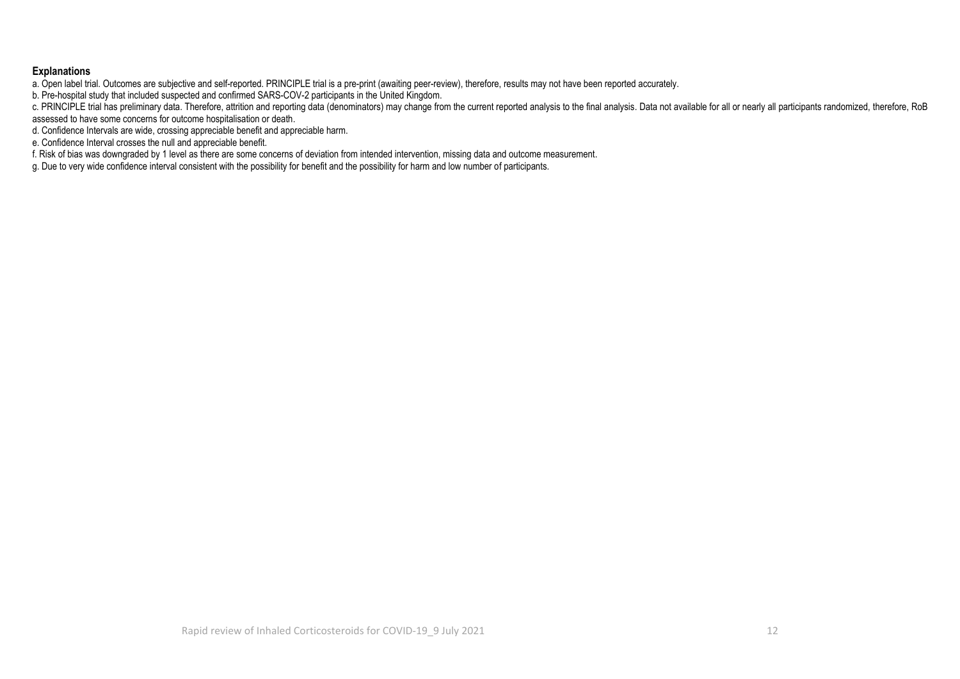#### **Explanations**

a. Open label trial. Outcomes are subjective and self-reported. PRINCIPLE trial is a pre-print (awaiting peer-review), therefore, results may not have been reported accurately.

b. Pre-hospital study that included suspected and confirmed SARS-COV-2 participants in the United Kingdom.

c. PRINCIPLE trial has preliminary data. Therefore, attrition and reporting data (denominators) may change from the current reported analysis to the final analysis. Data not available for all or nearly all participants ran assessed to have some concerns for outcome hospitalisation or death.

d. Confidence Intervals are wide, crossing appreciable benefit and appreciable harm.

e. Confidence Interval crosses the null and appreciable benefit.

f. Risk of bias was downgraded by 1 level as there are some concerns of deviation from intended intervention, missing data and outcome measurement.

g. Due to very wide confidence interval consistent with the possibility for benefit and the possibility for harm and low number of participants.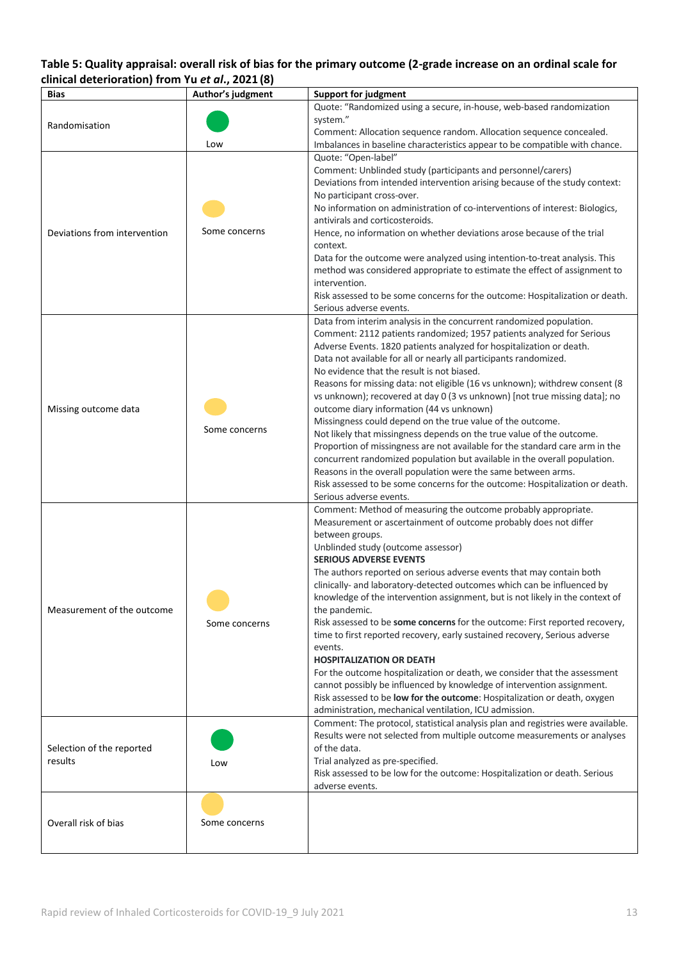# **Table 5: Quality appraisal: overall risk of bias for the primary outcome (2-grade increase on an ordinal scale for clinical deterioration) from Yu** *et al***., 2021 (8)**

| <b>Bias</b>                                                                                                                                 | Author's judgment | <b>Support for judgment</b>                                                                                                                         |
|---------------------------------------------------------------------------------------------------------------------------------------------|-------------------|-----------------------------------------------------------------------------------------------------------------------------------------------------|
|                                                                                                                                             |                   | Quote: "Randomized using a secure, in-house, web-based randomization                                                                                |
|                                                                                                                                             |                   | system."                                                                                                                                            |
|                                                                                                                                             |                   | Comment: Allocation sequence random. Allocation sequence concealed.                                                                                 |
|                                                                                                                                             | Low               | Imbalances in baseline characteristics appear to be compatible with chance.                                                                         |
|                                                                                                                                             |                   | Quote: "Open-label"                                                                                                                                 |
|                                                                                                                                             |                   | Comment: Unblinded study (participants and personnel/carers)                                                                                        |
| Randomisation<br>Deviations from intervention<br>Missing outcome data<br>Measurement of the outcome<br>Selection of the reported<br>results |                   | Deviations from intended intervention arising because of the study context:                                                                         |
|                                                                                                                                             |                   | No participant cross-over.                                                                                                                          |
|                                                                                                                                             |                   | No information on administration of co-interventions of interest: Biologics,                                                                        |
|                                                                                                                                             | Some concerns     | antivirals and corticosteroids.                                                                                                                     |
|                                                                                                                                             |                   | Hence, no information on whether deviations arose because of the trial<br>context.                                                                  |
|                                                                                                                                             |                   | Data for the outcome were analyzed using intention-to-treat analysis. This                                                                          |
|                                                                                                                                             |                   | method was considered appropriate to estimate the effect of assignment to                                                                           |
|                                                                                                                                             |                   | intervention.                                                                                                                                       |
|                                                                                                                                             |                   | Risk assessed to be some concerns for the outcome: Hospitalization or death.                                                                        |
|                                                                                                                                             |                   | Serious adverse events.                                                                                                                             |
|                                                                                                                                             |                   | Data from interim analysis in the concurrent randomized population.                                                                                 |
|                                                                                                                                             |                   | Comment: 2112 patients randomized; 1957 patients analyzed for Serious                                                                               |
|                                                                                                                                             |                   | Adverse Events. 1820 patients analyzed for hospitalization or death.                                                                                |
|                                                                                                                                             |                   | Data not available for all or nearly all participants randomized.                                                                                   |
|                                                                                                                                             |                   | No evidence that the result is not biased.                                                                                                          |
|                                                                                                                                             |                   | Reasons for missing data: not eligible (16 vs unknown); withdrew consent (8                                                                         |
|                                                                                                                                             |                   | vs unknown); recovered at day 0 (3 vs unknown) [not true missing data]; no                                                                          |
|                                                                                                                                             |                   | outcome diary information (44 vs unknown)                                                                                                           |
|                                                                                                                                             | Some concerns     | Missingness could depend on the true value of the outcome.                                                                                          |
|                                                                                                                                             |                   | Not likely that missingness depends on the true value of the outcome.                                                                               |
|                                                                                                                                             |                   | Proportion of missingness are not available for the standard care arm in the                                                                        |
|                                                                                                                                             |                   | concurrent randomized population but available in the overall population.                                                                           |
|                                                                                                                                             |                   | Reasons in the overall population were the same between arms.                                                                                       |
|                                                                                                                                             |                   | Risk assessed to be some concerns for the outcome: Hospitalization or death.<br>Serious adverse events.                                             |
|                                                                                                                                             |                   | Comment: Method of measuring the outcome probably appropriate.                                                                                      |
|                                                                                                                                             |                   | Measurement or ascertainment of outcome probably does not differ                                                                                    |
|                                                                                                                                             |                   | between groups.                                                                                                                                     |
|                                                                                                                                             |                   | Unblinded study (outcome assessor)                                                                                                                  |
|                                                                                                                                             |                   | <b>SERIOUS ADVERSE EVENTS</b>                                                                                                                       |
|                                                                                                                                             |                   | The authors reported on serious adverse events that may contain both                                                                                |
|                                                                                                                                             |                   | clinically- and laboratory-detected outcomes which can be influenced by                                                                             |
|                                                                                                                                             |                   | knowledge of the intervention assignment, but is not likely in the context of                                                                       |
|                                                                                                                                             |                   | the pandemic.                                                                                                                                       |
|                                                                                                                                             | Some concerns     | Risk assessed to be some concerns for the outcome: First reported recovery,                                                                         |
|                                                                                                                                             |                   | time to first reported recovery, early sustained recovery, Serious adverse                                                                          |
|                                                                                                                                             |                   | events.                                                                                                                                             |
|                                                                                                                                             |                   | <b>HOSPITALIZATION OR DEATH</b>                                                                                                                     |
|                                                                                                                                             |                   | For the outcome hospitalization or death, we consider that the assessment                                                                           |
|                                                                                                                                             |                   | cannot possibly be influenced by knowledge of intervention assignment.<br>Risk assessed to be low for the outcome: Hospitalization or death, oxygen |
|                                                                                                                                             |                   | administration, mechanical ventilation, ICU admission.                                                                                              |
|                                                                                                                                             |                   | Comment: The protocol, statistical analysis plan and registries were available.                                                                     |
|                                                                                                                                             |                   | Results were not selected from multiple outcome measurements or analyses                                                                            |
|                                                                                                                                             |                   | of the data.                                                                                                                                        |
|                                                                                                                                             | Low               | Trial analyzed as pre-specified.                                                                                                                    |
|                                                                                                                                             |                   | Risk assessed to be low for the outcome: Hospitalization or death. Serious                                                                          |
|                                                                                                                                             |                   | adverse events.                                                                                                                                     |
|                                                                                                                                             |                   |                                                                                                                                                     |
|                                                                                                                                             |                   |                                                                                                                                                     |
| Overall risk of bias                                                                                                                        | Some concerns     |                                                                                                                                                     |
|                                                                                                                                             |                   |                                                                                                                                                     |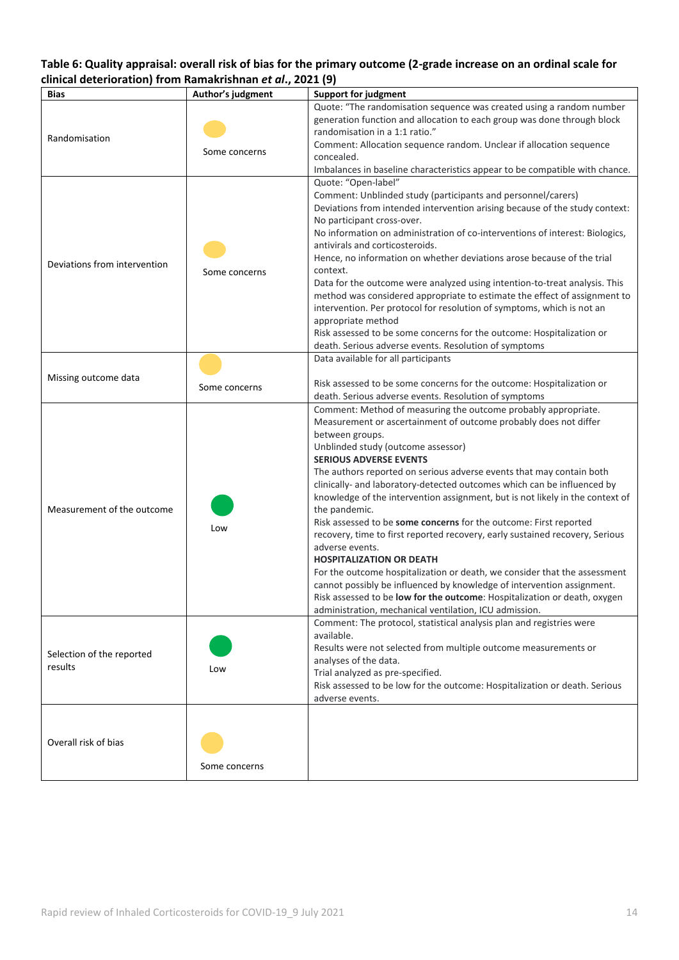### **Table 6: Quality appraisal: overall risk of bias for the primary outcome (2-grade increase on an ordinal scale for clinical deterioration) from Ramakrishnan** *et al***., 2021 (9)**

| <b>Bias</b>                          | Author's judgment | <b>Support for judgment</b>                                                                                                                                                                                                                                                                                                                                                                                                                                                                                                                                                                                                                                                                                                                                                                                                                                                                                                                                                                |
|--------------------------------------|-------------------|--------------------------------------------------------------------------------------------------------------------------------------------------------------------------------------------------------------------------------------------------------------------------------------------------------------------------------------------------------------------------------------------------------------------------------------------------------------------------------------------------------------------------------------------------------------------------------------------------------------------------------------------------------------------------------------------------------------------------------------------------------------------------------------------------------------------------------------------------------------------------------------------------------------------------------------------------------------------------------------------|
| Randomisation                        | Some concerns     | Quote: "The randomisation sequence was created using a random number<br>generation function and allocation to each group was done through block<br>randomisation in a 1:1 ratio."<br>Comment: Allocation sequence random. Unclear if allocation sequence<br>concealed.<br>Imbalances in baseline characteristics appear to be compatible with chance.                                                                                                                                                                                                                                                                                                                                                                                                                                                                                                                                                                                                                                      |
| Deviations from intervention         | Some concerns     | Quote: "Open-label"<br>Comment: Unblinded study (participants and personnel/carers)<br>Deviations from intended intervention arising because of the study context:<br>No participant cross-over.<br>No information on administration of co-interventions of interest: Biologics,<br>antivirals and corticosteroids.<br>Hence, no information on whether deviations arose because of the trial<br>context.<br>Data for the outcome were analyzed using intention-to-treat analysis. This<br>method was considered appropriate to estimate the effect of assignment to<br>intervention. Per protocol for resolution of symptoms, which is not an<br>appropriate method<br>Risk assessed to be some concerns for the outcome: Hospitalization or<br>death. Serious adverse events. Resolution of symptoms                                                                                                                                                                                     |
| Missing outcome data                 | Some concerns     | Data available for all participants<br>Risk assessed to be some concerns for the outcome: Hospitalization or<br>death. Serious adverse events. Resolution of symptoms                                                                                                                                                                                                                                                                                                                                                                                                                                                                                                                                                                                                                                                                                                                                                                                                                      |
| Measurement of the outcome           | Low               | Comment: Method of measuring the outcome probably appropriate.<br>Measurement or ascertainment of outcome probably does not differ<br>between groups.<br>Unblinded study (outcome assessor)<br><b>SERIOUS ADVERSE EVENTS</b><br>The authors reported on serious adverse events that may contain both<br>clinically- and laboratory-detected outcomes which can be influenced by<br>knowledge of the intervention assignment, but is not likely in the context of<br>the pandemic.<br>Risk assessed to be some concerns for the outcome: First reported<br>recovery, time to first reported recovery, early sustained recovery, Serious<br>adverse events.<br><b>HOSPITALIZATION OR DEATH</b><br>For the outcome hospitalization or death, we consider that the assessment<br>cannot possibly be influenced by knowledge of intervention assignment.<br>Risk assessed to be low for the outcome: Hospitalization or death, oxygen<br>administration, mechanical ventilation, ICU admission. |
| Selection of the reported<br>results | Low               | Comment: The protocol, statistical analysis plan and registries were<br>available.<br>Results were not selected from multiple outcome measurements or<br>analyses of the data.<br>Trial analyzed as pre-specified.<br>Risk assessed to be low for the outcome: Hospitalization or death. Serious<br>adverse events.                                                                                                                                                                                                                                                                                                                                                                                                                                                                                                                                                                                                                                                                        |
| Overall risk of bias                 | Some concerns     |                                                                                                                                                                                                                                                                                                                                                                                                                                                                                                                                                                                                                                                                                                                                                                                                                                                                                                                                                                                            |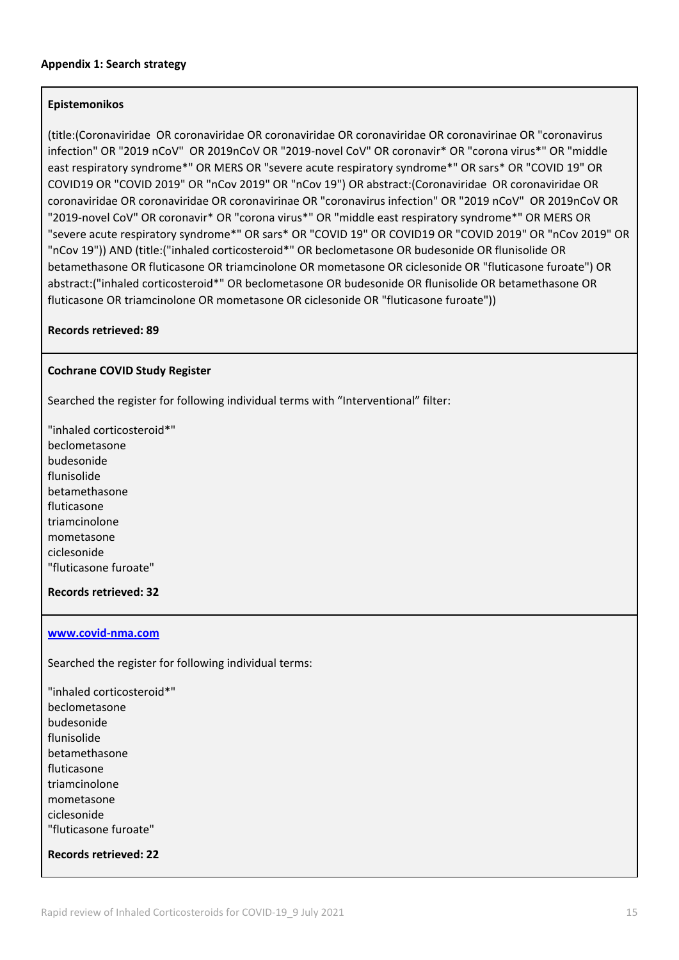### **Epistemonikos**

(title:(Coronaviridae OR coronaviridae OR coronaviridae OR coronaviridae OR coronavirinae OR "coronavirus infection" OR "2019 nCoV" OR 2019nCoV OR "2019-novel CoV" OR coronavir\* OR "corona virus\*" OR "middle east respiratory syndrome\*" OR MERS OR "severe acute respiratory syndrome\*" OR sars\* OR "COVID 19" OR COVID19 OR "COVID 2019" OR "nCov 2019" OR "nCov 19") OR abstract:(Coronaviridae OR coronaviridae OR coronaviridae OR coronaviridae OR coronavirinae OR "coronavirus infection" OR "2019 nCoV" OR 2019nCoV OR "2019-novel CoV" OR coronavir\* OR "corona virus\*" OR "middle east respiratory syndrome\*" OR MERS OR "severe acute respiratory syndrome\*" OR sars\* OR "COVID 19" OR COVID19 OR "COVID 2019" OR "nCov 2019" OR "nCov 19")) AND (title:("inhaled corticosteroid\*" OR beclometasone OR budesonide OR flunisolide OR betamethasone OR fluticasone OR triamcinolone OR mometasone OR ciclesonide OR "fluticasone furoate") OR abstract:("inhaled corticosteroid\*" OR beclometasone OR budesonide OR flunisolide OR betamethasone OR fluticasone OR triamcinolone OR mometasone OR ciclesonide OR "fluticasone furoate"))

### **Records retrieved: 89**

### **Cochrane COVID Study Register**

Searched the register for following individual terms with "Interventional" filter:

"inhaled corticosteroid\*" beclometasone budesonide flunisolide betamethasone fluticasone triamcinolone mometasone ciclesonide "fluticasone furoate"

### **Records retrieved: 32**

### **[www.covid-nma.com](http://www.covid-nma.com/)**

Searched the register for following individual terms:

"inhaled corticosteroid\*" beclometasone budesonide flunisolide betamethasone fluticasone triamcinolone mometasone ciclesonide "fluticasone furoate"

**Records retrieved: 22**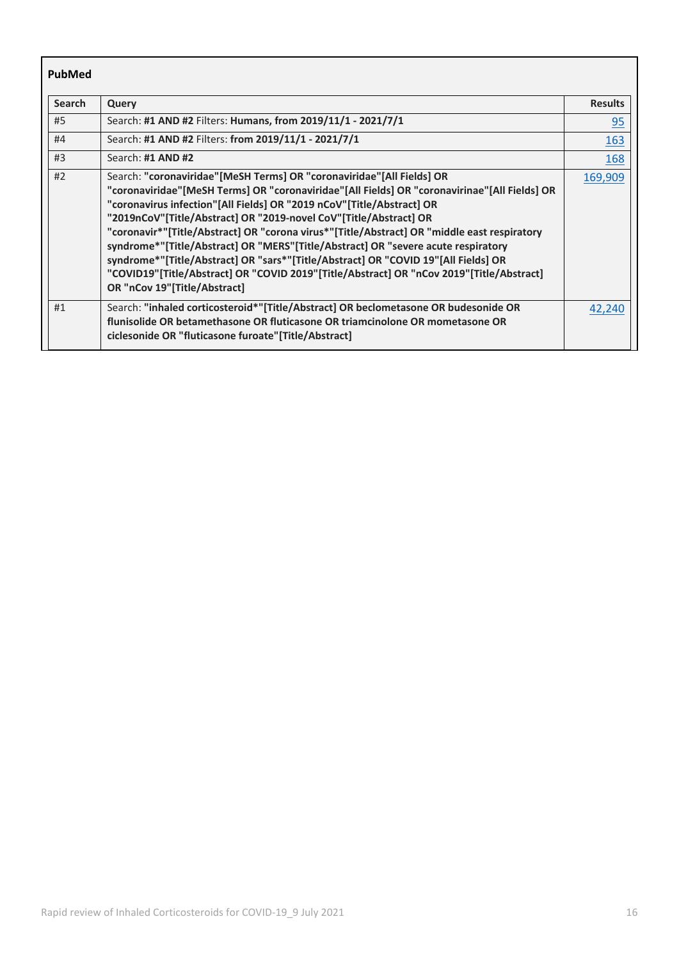| PubMed        |                                                                                                                                                                                                                                                                                                                                                                                                                                                                                                                                                                                                                                                                                                                           |                |
|---------------|---------------------------------------------------------------------------------------------------------------------------------------------------------------------------------------------------------------------------------------------------------------------------------------------------------------------------------------------------------------------------------------------------------------------------------------------------------------------------------------------------------------------------------------------------------------------------------------------------------------------------------------------------------------------------------------------------------------------------|----------------|
| <b>Search</b> | Query                                                                                                                                                                                                                                                                                                                                                                                                                                                                                                                                                                                                                                                                                                                     | <b>Results</b> |
| #5            | Search: #1 AND #2 Filters: Humans, from 2019/11/1 - 2021/7/1                                                                                                                                                                                                                                                                                                                                                                                                                                                                                                                                                                                                                                                              | 95             |
| #4            | Search: #1 AND #2 Filters: from 2019/11/1 - 2021/7/1                                                                                                                                                                                                                                                                                                                                                                                                                                                                                                                                                                                                                                                                      | <u>163</u>     |
| #3            | Search: #1 AND #2                                                                                                                                                                                                                                                                                                                                                                                                                                                                                                                                                                                                                                                                                                         | <b>168</b>     |
| #2            | Search: "coronaviridae"[MeSH Terms] OR "coronaviridae"[All Fields] OR<br>"coronaviridae"[MeSH Terms] OR "coronaviridae"[All Fields] OR "coronavirinae"[All Fields] OR<br>"coronavirus infection"[All Fields] OR "2019 nCoV"[Title/Abstract] OR<br>"2019nCoV"[Title/Abstract] OR "2019-novel CoV"[Title/Abstract] OR<br>"coronavir*"[Title/Abstract] OR "corona virus*"[Title/Abstract] OR "middle east respiratory<br>syndrome*"[Title/Abstract] OR "MERS"[Title/Abstract] OR "severe acute respiratory<br>syndrome*"[Title/Abstract] OR "sars*"[Title/Abstract] OR "COVID 19"[All Fields] OR<br>"COVID19"[Title/Abstract] OR "COVID 2019"[Title/Abstract] OR "nCov 2019"[Title/Abstract]<br>OR "nCov 19"[Title/Abstract] | 169,909        |
| #1            | Search: "inhaled corticosteroid*"[Title/Abstract] OR beclometasone OR budesonide OR<br>flunisolide OR betamethasone OR fluticasone OR triamcinolone OR mometasone OR<br>ciclesonide OR "fluticasone furoate"[Title/Abstract]                                                                                                                                                                                                                                                                                                                                                                                                                                                                                              | 42,240         |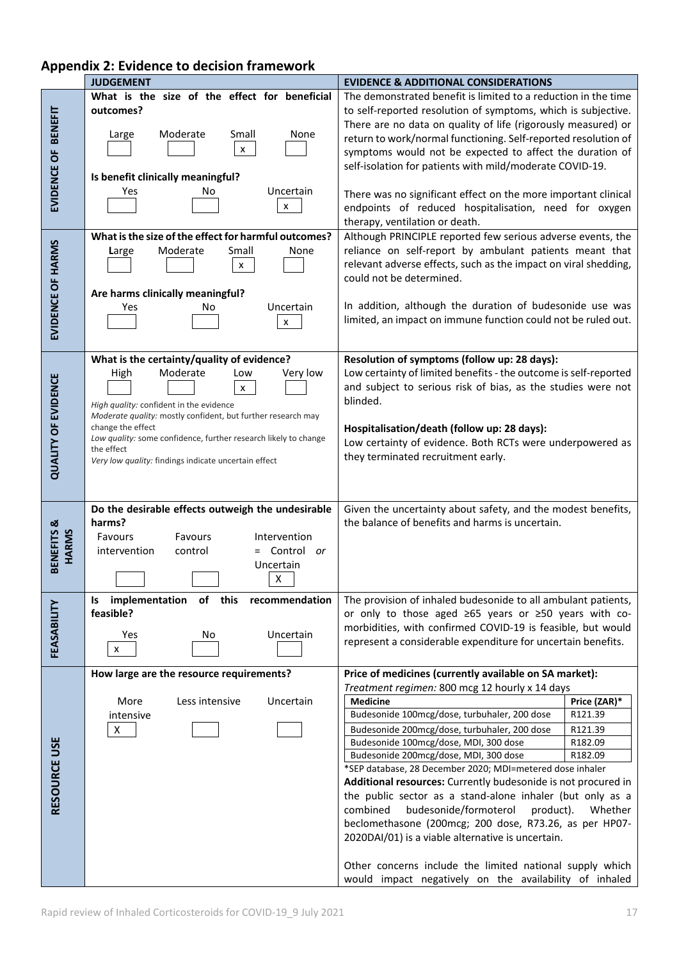|                            | <b>JUDGEMENT</b>                                                                                                                                                                                                       | <b>EVIDENCE &amp; ADDITIONAL CONSIDERATIONS</b>                                                                                                                                                                                                                                                                                                                                                                                                                                                                                                                                                                                      |
|----------------------------|------------------------------------------------------------------------------------------------------------------------------------------------------------------------------------------------------------------------|--------------------------------------------------------------------------------------------------------------------------------------------------------------------------------------------------------------------------------------------------------------------------------------------------------------------------------------------------------------------------------------------------------------------------------------------------------------------------------------------------------------------------------------------------------------------------------------------------------------------------------------|
| EVIDENCE OF BENEFIT        | What is the size of the effect for beneficial<br>outcomes?<br>Moderate<br>Small<br>None<br>Large<br>$\mathsf{x}$<br>Is benefit clinically meaningful?                                                                  | The demonstrated benefit is limited to a reduction in the time<br>to self-reported resolution of symptoms, which is subjective.<br>There are no data on quality of life (rigorously measured) or<br>return to work/normal functioning. Self-reported resolution of<br>symptoms would not be expected to affect the duration of<br>self-isolation for patients with mild/moderate COVID-19.                                                                                                                                                                                                                                           |
|                            | Uncertain<br>Yes<br>No<br>X                                                                                                                                                                                            | There was no significant effect on the more important clinical<br>endpoints of reduced hospitalisation, need for oxygen<br>therapy, ventilation or death.                                                                                                                                                                                                                                                                                                                                                                                                                                                                            |
|                            | What is the size of the effect for harmful outcomes?<br>Moderate<br>Small<br>None<br>Large<br>x                                                                                                                        | Although PRINCIPLE reported few serious adverse events, the<br>reliance on self-report by ambulant patients meant that<br>relevant adverse effects, such as the impact on viral shedding,<br>could not be determined.                                                                                                                                                                                                                                                                                                                                                                                                                |
| EVIDENCE OF HARMS          | Are harms clinically meaningful?<br>Uncertain<br>Yes<br>No<br>x                                                                                                                                                        | In addition, although the duration of budesonide use was<br>limited, an impact on immune function could not be ruled out.                                                                                                                                                                                                                                                                                                                                                                                                                                                                                                            |
| <b>QUALITY OF EVIDENCE</b> | What is the certainty/quality of evidence?<br>Moderate<br>Very low<br>High<br>Low<br>x<br>High quality: confident in the evidence<br>Moderate quality: mostly confident, but further research may<br>change the effect | Resolution of symptoms (follow up: 28 days):<br>Low certainty of limited benefits - the outcome is self-reported<br>and subject to serious risk of bias, as the studies were not<br>blinded.                                                                                                                                                                                                                                                                                                                                                                                                                                         |
|                            | Low quality: some confidence, further research likely to change<br>the effect<br>Very low quality: findings indicate uncertain effect                                                                                  | Hospitalisation/death (follow up: 28 days):<br>Low certainty of evidence. Both RCTs were underpowered as<br>they terminated recruitment early.                                                                                                                                                                                                                                                                                                                                                                                                                                                                                       |
| BENEFITS &<br>HARMS        | Do the desirable effects outweigh the undesirable<br>harms?<br>Favours<br>Favours<br>Intervention<br>Control or<br>intervention<br>control<br>Uncertain<br>X                                                           | Given the uncertainty about safety, and the modest benefits,<br>the balance of benefits and harms is uncertain.                                                                                                                                                                                                                                                                                                                                                                                                                                                                                                                      |
|                            | implementation of this<br>recommendation<br>ls                                                                                                                                                                         | The provision of inhaled budesonide to all ambulant patients,                                                                                                                                                                                                                                                                                                                                                                                                                                                                                                                                                                        |
| FEASABILITY                | feasible?<br>Uncertain<br>Yes<br>No<br>$\pmb{\times}$                                                                                                                                                                  | or only to those aged ≥65 years or ≥50 years with co-<br>morbidities, with confirmed COVID-19 is feasible, but would<br>represent a considerable expenditure for uncertain benefits.                                                                                                                                                                                                                                                                                                                                                                                                                                                 |
|                            | How large are the resource requirements?                                                                                                                                                                               | Price of medicines (currently available on SA market):<br>Treatment regimen: 800 mcg 12 hourly x 14 days                                                                                                                                                                                                                                                                                                                                                                                                                                                                                                                             |
| RESOURCE USE               | More<br>Less intensive<br>Uncertain<br>intensive<br>X                                                                                                                                                                  | <b>Medicine</b><br>Price (ZAR)*<br>Budesonide 100mcg/dose, turbuhaler, 200 dose<br>R121.39<br>Budesonide 200mcg/dose, turbuhaler, 200 dose<br>R121.39<br>Budesonide 100mcg/dose, MDI, 300 dose<br>R182.09<br>Budesonide 200mcg/dose, MDI, 300 dose<br>R182.09<br>*SEP database, 28 December 2020; MDI=metered dose inhaler<br>Additional resources: Currently budesonide is not procured in<br>the public sector as a stand-alone inhaler (but only as a<br>combined<br>budesonide/formoterol<br>product).<br>Whether<br>beclomethasone (200mcg; 200 dose, R73.26, as per HP07-<br>2020DAI/01) is a viable alternative is uncertain. |
|                            |                                                                                                                                                                                                                        | Other concerns include the limited national supply which<br>would impact negatively on the availability of inhaled                                                                                                                                                                                                                                                                                                                                                                                                                                                                                                                   |

# **Appendix 2: Evidence to decision framework**